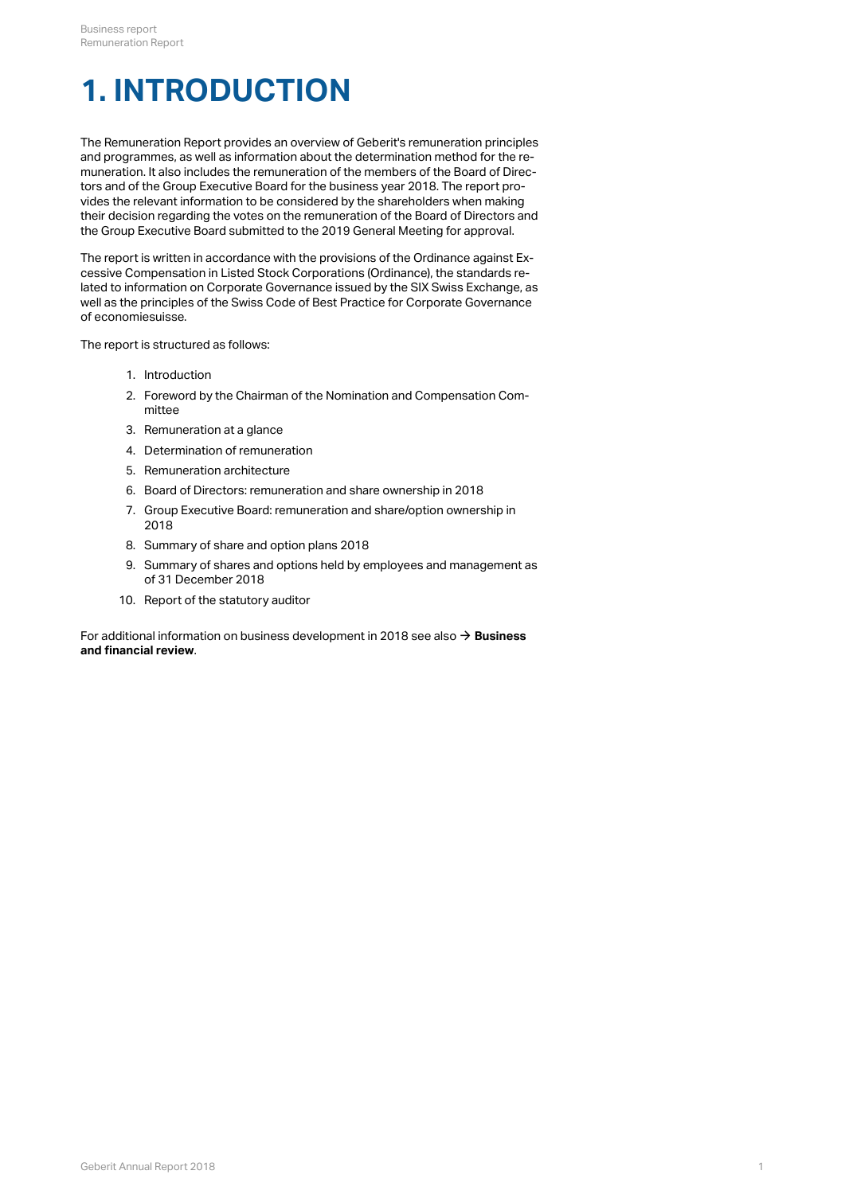# **1. INTRODUCTION**

The Remuneration Report provides an overview of Geberit's remuneration principles and programmes, as well as information about the determination method for the remuneration. It also includes the remuneration of the members of the Board of Directors and of the Group Executive Board for the business year 2018. The report provides the relevant information to be considered by the shareholders when making their decision regarding the votes on the remuneration of the Board of Directors and the Group Executive Board submitted to the 2019 General Meeting for approval.

The report is written in accordance with the provisions of the Ordinance against Excessive Compensation in Listed Stock Corporations (Ordinance), the standards related to information on Corporate Governance issued by the SIX Swiss Exchange, as well as the principles of the Swiss Code of Best Practice for Corporate Governance of economiesuisse.

The report is structured as follows:

- 1. Introduction
- 2. Foreword by the Chairman of the Nomination and Compensation Committee
- 3. Remuneration at a glance
- 4. Determination of remuneration
- 5. Remuneration architecture
- 6. Board of Directors: remuneration and share ownership in 2018
- 7. Group Executive Board: remuneration and share/option ownership in 2018
- 8. Summary of share and option plans 2018
- 9. Summary of shares and options held by employees and management as of 31 December 2018
- 10. Report of the statutory auditor

For additional information on business development in 2018 see also **→ [Business](http://annualreport.geberit.com/reports/geberit/annual/2018/gb/English/1050/business-and-financial-review.html)**<br>**[and financial review](http://annualreport.geberit.com/reports/geberit/annual/2018/gb/English/1050/business-and-financial-review.html)**.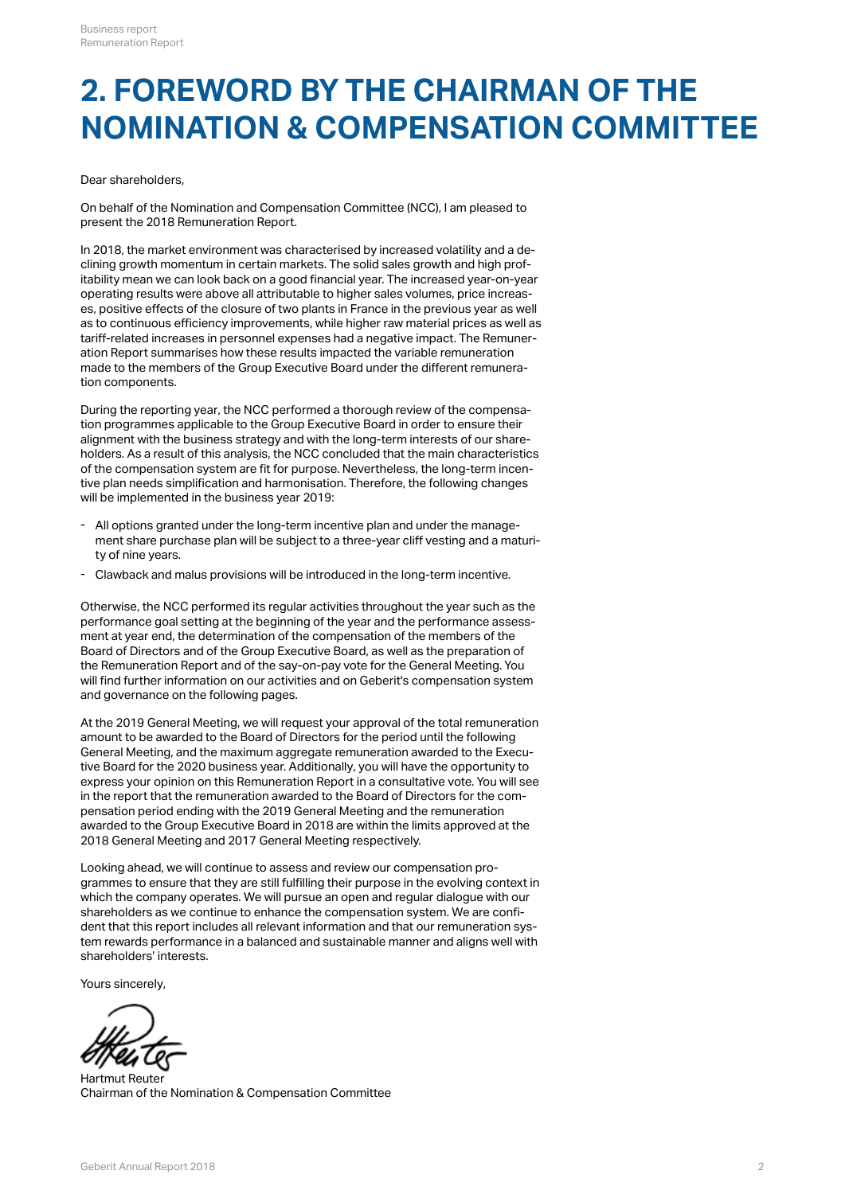## **2. FOREWORD BY THE CHAIRMAN OF THE NOMINATION & COMPENSATION COMMITTEE**

#### Dear shareholders,

On behalf of the Nomination and Compensation Committee (NCC), I am pleased to present the 2018 Remuneration Report.

In 2018, the market environment was characterised by increased volatility and a declining growth momentum in certain markets. The solid sales growth and high profitability mean we can look back on a good financial year. The increased year-on-year operating results were above all attributable to higher sales volumes, price increases, positive effects of the closure of two plants in France in the previous year as well as to continuous efficiency improvements, while higher raw material prices as well as tariff-related increases in personnel expenses had a negative impact. The Remuneration Report summarises how these results impacted the variable remuneration made to the members of the Group Executive Board under the different remuneration components.

During the reporting year, the NCC performed a thorough review of the compensation programmes applicable to the Group Executive Board in order to ensure their alignment with the business strategy and with the long-term interests of our shareholders. As a result of this analysis, the NCC concluded that the main characteristics of the compensation system are fit for purpose. Nevertheless, the long-term incentive plan needs simplification and harmonisation. Therefore, the following changes will be implemented in the business year 2019:

- All options granted under the long-term incentive plan and under the management share purchase plan will be subject to a three-year cliff vesting and a maturi-- All options granted under the lo<br>ment share purchase plan will b<br>ty of nine years.
- Clawback and malus provisions will be introduced in the long-term incentive.

Otherwise, the NCC performed its regular activities throughout the year such as the performance goal setting at the beginning of the year and the performance assessment at year end, the determination of the compensation of the members of the Board of Directors and of the Group Executive Board, as well as the preparation of the Remuneration Report and of the say-on-pay vote for the General Meeting. You will find further information on our activities and on Geberit's compensation system and governance on the following pages.

At the 2019 General Meeting, we will request your approval of the total remuneration amount to be awarded to the Board of Directors for the period until the following General Meeting, and the maximum aggregate remuneration awarded to the Executive Board for the 2020 business year. Additionally, you will have the opportunity to express your opinion on this Remuneration Report in a consultative vote. You will see in the report that the remuneration awarded to the Board of Directors for the compensation period ending with the 2019 General Meeting and the remuneration awarded to the Group Executive Board in 2018 are within the limits approved at the 2018 General Meeting and 2017 General Meeting respectively.

Looking ahead, we will continue to assess and review our compensation programmes to ensure that they are still fulfilling their purpose in the evolving context in which the company operates. We will pursue an open and regular dialogue with our shareholders as we continue to enhance the compensation system. We are confident that this report includes all relevant information and that our remuneration system rewards performance in a balanced and sustainable manner and aligns well with shareholders' interests.

Yours sincerely,

Hartmut Reuter Chairman of the Nomination & Compensation Committee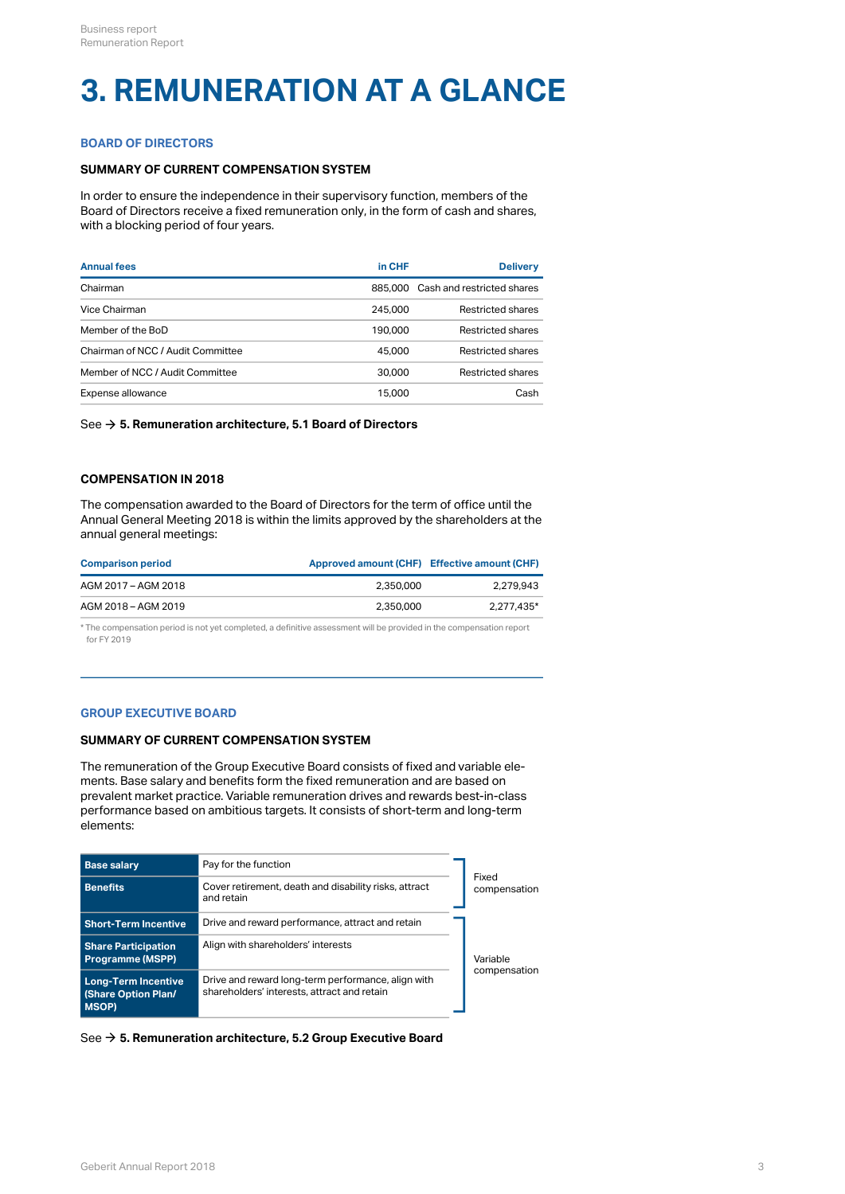# **3. REMUNERATION AT A GLANCE**

### **BOARD OF DIRECTORS**

## **SUMMARY OF CURRENT COMPENSATION SYSTEM**

In order to ensure the independence in their supervisory function, members of the Board of Directors receive a fixed remuneration only, in the form of cash and shares, with a blocking period of four years.

| <b>Annual fees</b>                | in CHF  | <b>Delivery</b>                    |
|-----------------------------------|---------|------------------------------------|
| Chairman                          |         | 885,000 Cash and restricted shares |
| Vice Chairman                     | 245,000 | Restricted shares                  |
| Member of the BoD                 | 190.000 | Restricted shares                  |
| Chairman of NCC / Audit Committee | 45,000  | Restricted shares                  |
| Member of NCC / Audit Committee   | 30,000  | Restricted shares                  |
| Expense allowance                 | 15,000  | Cash                               |
|                                   |         |                                    |

See **[5. Remuneration architecture, 5.1 Board of Directors](#page-7-0)** [\\$](#page-7-0)

## **COMPENSATION IN 2018**

The compensation awarded to the Board of Directors for the term of office until the Annual General Meeting 2018 is within the limits approved by the shareholders at the annual general meetings:

| <b>Comparison period</b> | Approved amount (CHF) Effective amount (CHF) |            |
|--------------------------|----------------------------------------------|------------|
| AGM 2017 - AGM 2018      | 2.350.000                                    | 2.279.943  |
| AGM 2018 - AGM 2019      | 2.350.000                                    | 2.277.435* |

\* The compensation period is not yet completed, a definitive assessment will be provided in the compensation report for FY 2019

## **GROUP EXECUTIVE BOARD**

### **SUMMARY OF CURRENT COMPENSATION SYSTEM**

The remuneration of the Group Executive Board consists of fixed and variable elements. Base salary and benefits form the fixed remuneration and are based on prevalent market practice. Variable remuneration drives and rewards best-in-class performance based on ambitious targets. It consists of short-term and long-term elements:

| <b>Base salary</b>                                         | Pay for the function                                                                              |                       |
|------------------------------------------------------------|---------------------------------------------------------------------------------------------------|-----------------------|
| <b>Benefits</b>                                            | Cover retirement, death and disability risks, attract<br>and retain                               | Fixed<br>compensation |
| <b>Short-Term Incentive</b>                                | Drive and reward performance, attract and retain                                                  |                       |
| <b>Share Participation</b><br><b>Programme (MSPP)</b>      | Align with shareholders' interests                                                                | Variable              |
| Long-Term Incentive<br>(Share Option Plan/<br><b>MSOP)</b> | Drive and reward long-term performance, align with<br>shareholders' interests, attract and retain | compensation          |

#### See **[5. Remuneration architecture, 5.2 Group Executive Board](#page-7-0)** [\\$](#page-7-0)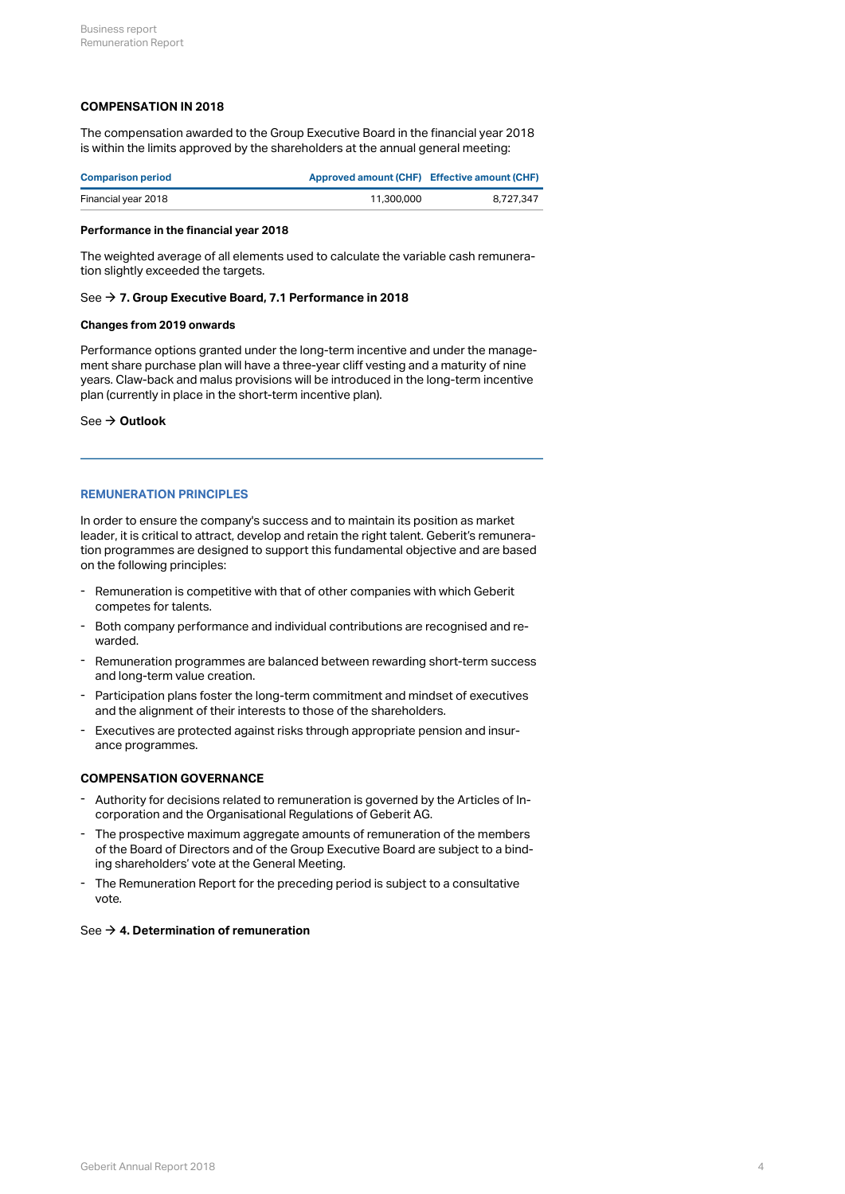## **COMPENSATION IN 2018**

The compensation awarded to the Group Executive Board in the financial year 2018 is within the limits approved by the shareholders at the annual general meeting:

| <b>Comparison period</b> | Approved amount (CHF) Effective amount (CHF) |           |
|--------------------------|----------------------------------------------|-----------|
| Financial year 2018      | 11,300,000                                   | 8.727.347 |

#### **Performance in the financial year 2018**

The weighted average of all elements used to calculate the variable cash remuneration slightly exceeded the targets.

#### See **[7. Group Executive Board, 7.1 Performance in 2018](#page-14-0)** [\\$](#page-14-0)

#### **Changes from 2019 onwards**

Performance options granted under the long-term incentive and under the management share purchase plan will have a three-year cliff vesting and a maturity of nine years. Claw-back and malus provisions will be introduced in the long-term incentive plan (currently in place in the short-term incentive plan).

See **[Outlook](#page-10-0)** [\\$](#page-10-0)

## **REMUNERATION PRINCIPLES**

In order to ensure the company's success and to maintain its position as market leader, it is critical to attract, develop and retain the right talent. Geberit's remuneration programmes are designed to support this fundamental objective and are based on the following principles:

- Remuneration is competitive with that of other companies with which Geberit<br>competes for talents.
- Both company performance and individual contributions are recognised and re-<br>warded.
- Remuneration programmes are balanced between rewarding short-term success<br> and long-term value creation.
- Participation plans foster the long-term commitment and mindset of executives<br>and the alignment of their interests to those of the shareholders.
- Executives are protected against risks through appropriate pension and insur-<br>ance programmes.

#### **COMPENSATION GOVERNANCE**

- Authority for decisions related to remuneration is governed by the Articles of In-corporation and the Organisational Regulations of Geberit AG. -
- The prospective maximum aggregate amounts of remuneration of the members of the Board of Directors and of the Group Executive Board are subject to a bind-- The prospective maximum aggregate amounts of remuneration<br>of the Board of Directors and of the Group Executive Board are<br>ing shareholders' vote at the General Meeting.
- The Remuneration Report for the preceding period is subject to a consultative<br>vote.

### See **[4. Determination of remuneration](#page-4-0)** [\\$](#page-4-0)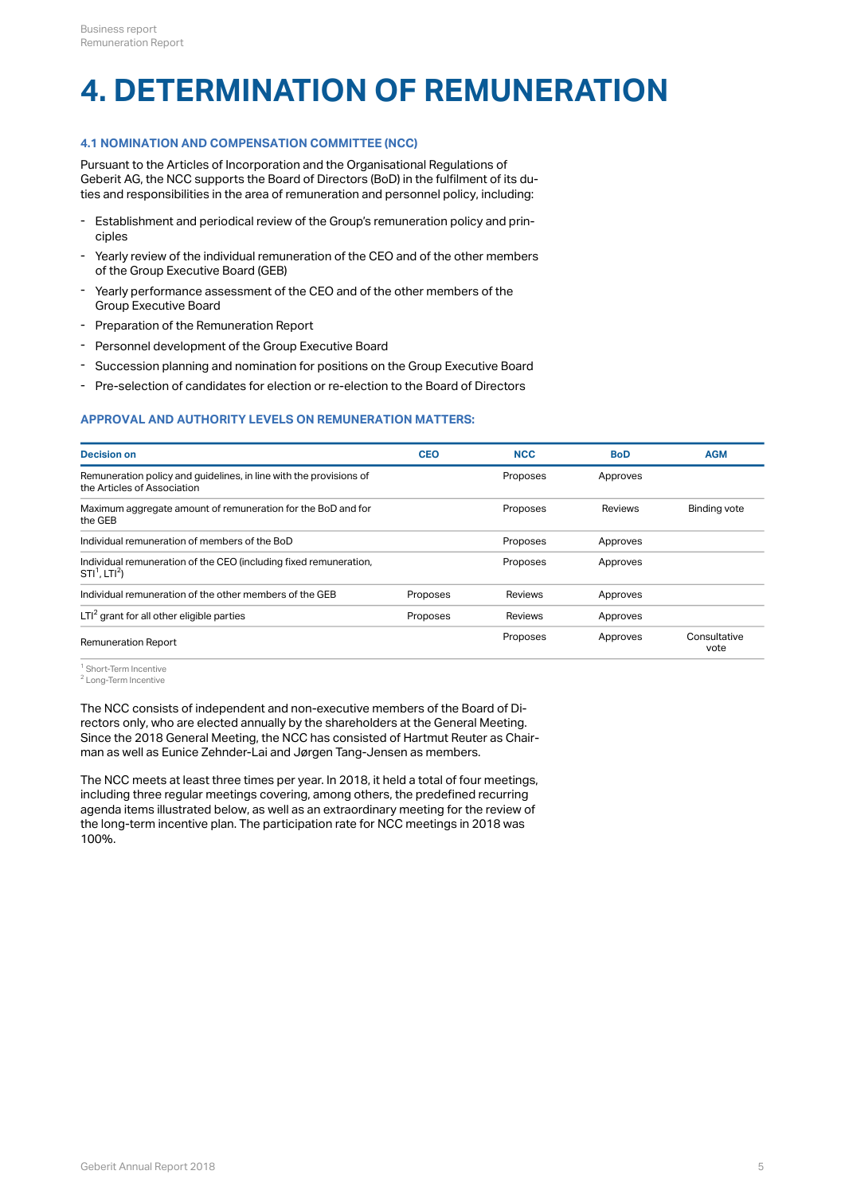# <span id="page-4-0"></span>**4. DETERMINATION OF REMUNERATION**

## **4.1 NOMINATION AND COMPENSATION COMMITTEE (NCC)**

Pursuant to the Articles of Incorporation and the Organisational Regulations of Geberit AG, the NCC supports the Board of Directors (BoD) in the fulfilment of its duties and responsibilities in the area of remuneration and personnel policy, including:

- Establishment and periodical review of the Group's remuneration policy and principles
- Yearly review of the individual remuneration of the CEO and of the other members<br>of the Group Executive Board (GEB)
- Yearly performance assessment of the CEO and of the other members of the Group Executive Board
- Preparation of the Remuneration Report
- Personnel development of the Group Executive Board
- Succession planning and nomination for positions on the Group Executive Board
- Pre-selection of candidates for election or re-election to the Board of Directors

## **APPROVAL AND AUTHORITY LEVELS ON REMUNERATION MATTERS:**

| <b>Decision on</b>                                                                                | <b>CEO</b> | <b>NCC</b> | <b>BoD</b> | <b>AGM</b>           |
|---------------------------------------------------------------------------------------------------|------------|------------|------------|----------------------|
| Remuneration policy and guidelines, in line with the provisions of<br>the Articles of Association |            | Proposes   | Approves   |                      |
| Maximum aggregate amount of remuneration for the BoD and for<br>the GEB                           |            | Proposes   | Reviews    | <b>Binding vote</b>  |
| Individual remuneration of members of the BoD                                                     |            | Proposes   | Approves   |                      |
| Individual remuneration of the CEO (including fixed remuneration,<br>$STI^1$ . LTI <sup>2</sup> ) |            | Proposes   | Approves   |                      |
| Individual remuneration of the other members of the GEB                                           | Proposes   | Reviews    | Approves   |                      |
| $LTI2$ grant for all other eligible parties                                                       | Proposes   | Reviews    | Approves   |                      |
| <b>Remuneration Report</b>                                                                        |            | Proposes   | Approves   | Consultative<br>vote |

<sup>1</sup> Short-Term Incentive

 $^2$  Long-Term Incentive  $^2$ 

The NCC consists of independent and non-executive members of the Board of Directors only, who are elected annually by the shareholders at the General Meeting. Since the 2018 General Meeting, the NCC has consisted of Hartmut Reuter as Chairman as well as Eunice Zehnder-Lai and Jørgen Tang-Jensen as members.

The NCC meets at least three times per year. In 2018, it held a total of four meetings, including three regular meetings covering, among others, the predefined recurring agenda items illustrated below, as well as an extraordinary meeting for the review of the long-term incentive plan. The participation rate for NCC meetings in 2018 was 100%.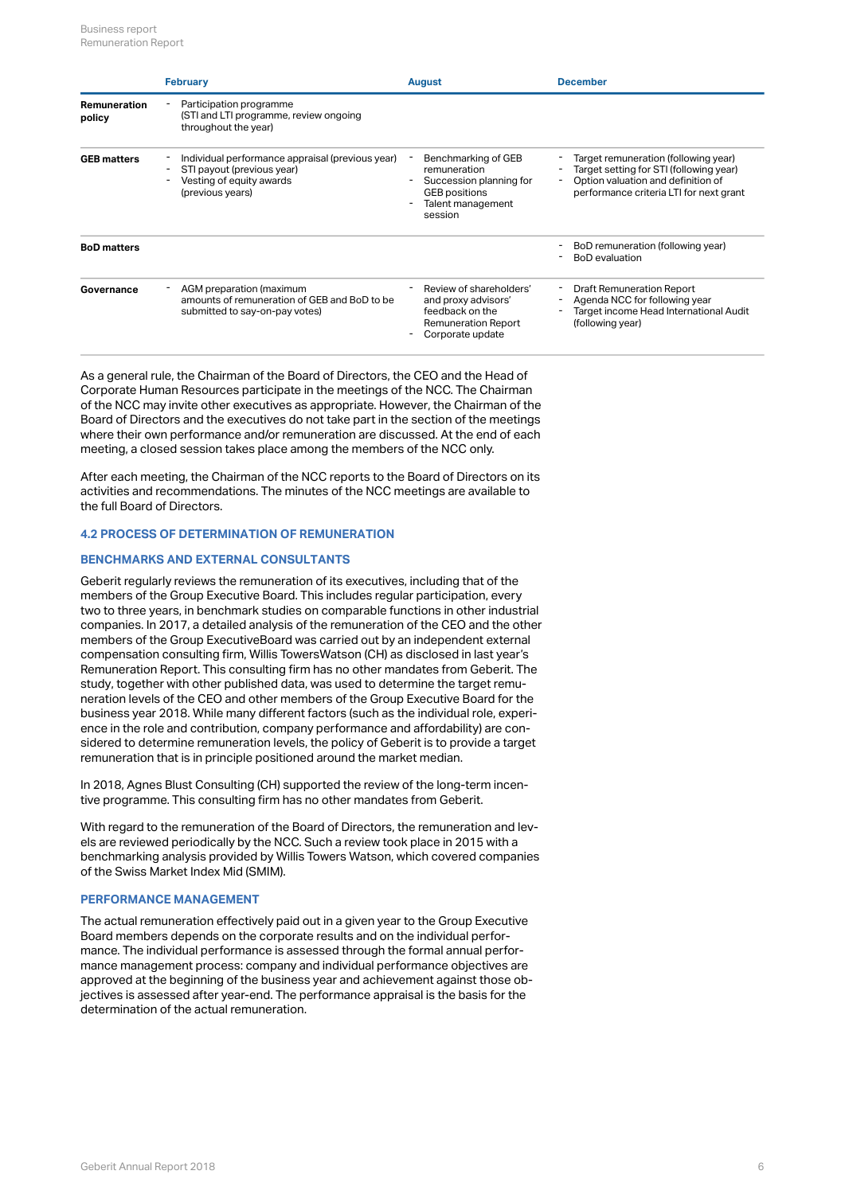|                        | <b>February</b>                                                                                                                | <b>August</b>                                                                                                          | <b>December</b>                                                                                                                                                  |
|------------------------|--------------------------------------------------------------------------------------------------------------------------------|------------------------------------------------------------------------------------------------------------------------|------------------------------------------------------------------------------------------------------------------------------------------------------------------|
| Remuneration<br>policy | Participation programme<br>(STI and LTI programme, review ongoing<br>throughout the year)                                      |                                                                                                                        |                                                                                                                                                                  |
| <b>GEB matters</b>     | Individual performance appraisal (previous year)<br>STI payout (previous year)<br>Vesting of equity awards<br>(previous years) | Benchmarking of GEB<br>remuneration<br>Succession planning for<br><b>GEB</b> positions<br>Talent management<br>session | Target remuneration (following year)<br>Target setting for STI (following year)<br>Option valuation and definition of<br>performance criteria LTI for next grant |
| <b>BoD</b> matters     |                                                                                                                                |                                                                                                                        | BoD remuneration (following year)<br><b>BoD</b> evaluation                                                                                                       |
| Governance             | AGM preparation (maximum<br>amounts of remuneration of GEB and BoD to be<br>submitted to say-on-pay votes)                     | Review of shareholders'<br>and proxy advisors'<br>feedback on the<br><b>Remuneration Report</b><br>Corporate update    | <b>Draft Remuneration Report</b><br>Agenda NCC for following year<br>Target income Head International Audit<br>(following year)                                  |

As a general rule, the Chairman of the Board of Directors, the CEO and the Head of Corporate Human Resources participate in the meetings of the NCC. The Chairman of the NCC may invite other executives as appropriate. However, the Chairman of the Board of Directors and the executives do not take part in the section of the meetings where their own performance and/or remuneration are discussed. At the end of each meeting, a closed session takes place among the members of the NCC only.

After each meeting, the Chairman of the NCC reports to the Board of Directors on its activities and recommendations. The minutes of the NCC meetings are available to the full Board of Directors.

## **4.2 PROCESS OF DETERMINATION OF REMUNERATION**

## **BENCHMARKS AND EXTERNAL CONSULTANTS**

Geberit regularly reviews the remuneration of its executives, including that of the members of the Group Executive Board. This includes regular participation, every two to three years, in benchmark studies on comparable functions in other industrial companies. In 2017, a detailed analysis of the remuneration of the CEO and the other members of the Group ExecutiveBoard was carried out by an independent external compensation consulting firm, Willis TowersWatson (CH) as disclosed in last year's Remuneration Report. This consulting firm has no other mandates from Geberit. The study, together with other published data, was used to determine the target remuneration levels of the CEO and other members of the Group Executive Board for the business year 2018. While many different factors (such as the individual role, experience in the role and contribution, company performance and affordability) are considered to determine remuneration levels, the policy of Geberit is to provide a target remuneration that is in principle positioned around the market median.

In 2018, Agnes Blust Consulting (CH) supported the review of the long-term incentive programme. This consulting firm has no other mandates from Geberit.

With regard to the remuneration of the Board of Directors, the remuneration and levels are reviewed periodically by the NCC. Such a review took place in 2015 with a benchmarking analysis provided by Willis Towers Watson, which covered companies of the Swiss Market Index Mid (SMIM).

## **PERFORMANCE MANAGEMENT**

The actual remuneration effectively paid out in a given year to the Group Executive Board members depends on the corporate results and on the individual performance. The individual performance is assessed through the formal annual performance management process: company and individual performance objectives are approved at the beginning of the business year and achievement against those objectives is assessed after year-end. The performance appraisal is the basis for the determination of the actual remuneration.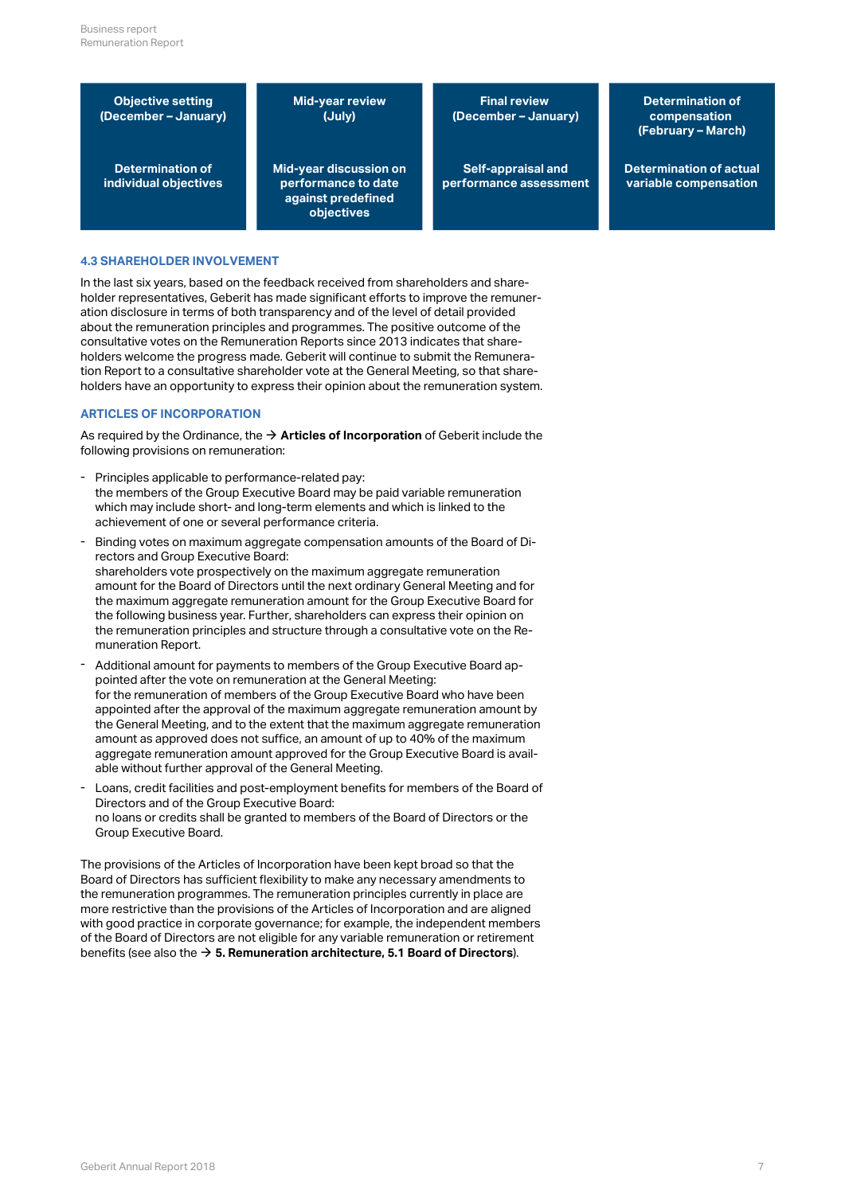**Objective setting (December – January)**

**(July)**

**individual objectives against predefined objectives**

**Mid-year review (December – January)**

**Determination of Mid-year discussion on performance to date performance assessment**

**Final review Determination of compensation (February – March)**

**Self-appraisal and Determination of actual variable compensation**

### **4.3 SHAREHOLDER INVOLVEMENT**

In the last six years, based on the feedback received from shareholders and shareholder representatives, Geberit has made significant efforts to improve the remuneration disclosure in terms of both transparency and of the level of detail provided about the remuneration principles and programmes. The positive outcome of the consultative votes on the Remuneration Reports since 2013 indicates that shareholders welcome the progress made. Geberit will continue to submit the Remuneration Report to a consultative shareholder vote at the General Meeting, so that shareholders have an opportunity to express their opinion about the remuneration system.

#### **ARTICLES OF INCORPORATION**

As required by the Ordinance, the  $\rightarrow$  **Articles of Incorporation** of Geberit include the following provisions on remuneration:

- Principles applicable to performance-related pay: the members of the Group Executive Board may be paid variable remuneration which may include short- and long-term elements and which is linked to the - Principles applicable to performance-related pay:<br>the members of the Group Executive Board may be paid variable ren<br>which may include short- and long-term elements and which is linke<br>achievement of one or several perform
- Binding votes on maximum aggregate compensation amounts of the Board of Directors and Group Executive Board: shareholders vote prospectively on the maximum aggregate remuneration amount for the Board of Directors until the next ordinary General Meeting and for the maximum aggregate remuneration amount for the Group Executive Board for the following business year. Further, shareholders can express their opinion on the remuneration principles and structure through a consultative vote on the Remuneration Report.
- Additional amount for payments to members of the Group Executive Board appointed after the vote on remuneration at the General Meeting: for the remuneration of members of the Group Executive Board who have been appointed after the approval of the maximum aggregate remuneration amount by the General Meeting, and to the extent that the maximum aggregate remuneration amount as approved does not suffice, an amount of up to 40% of the maximum aggregate remuneration amount approved for the Group Executive Board is available without further approval of the General Meeting.
- Loans, credit facilities and post-employment benefits for members of the Board of Directors and of the Group Executive Board: no loans or credits shall be granted to members of the Board of Directors or the - Loans, credit facilities and post-employ<br>Directors and of the Group Executive Bo<br>no loans or credits shall be granted to n<br>Group Executive Board.

The provisions of the Articles of Incorporation have been kept broad so that the Board of Directors has sufficient flexibility to make any necessary amendments to the remuneration programmes. The remuneration principles currently in place are more restrictive than the provisions of the Articles of Incorporation and are aligned with good practice in corporate governance; for example, the independent members of the Board of Directors are not eligible for any variable remuneration or retirement benefits (see also the **[5. Remuneration architecture, 5.1 Board of Directors](#page-7-0)**). [\\$](#page-7-0)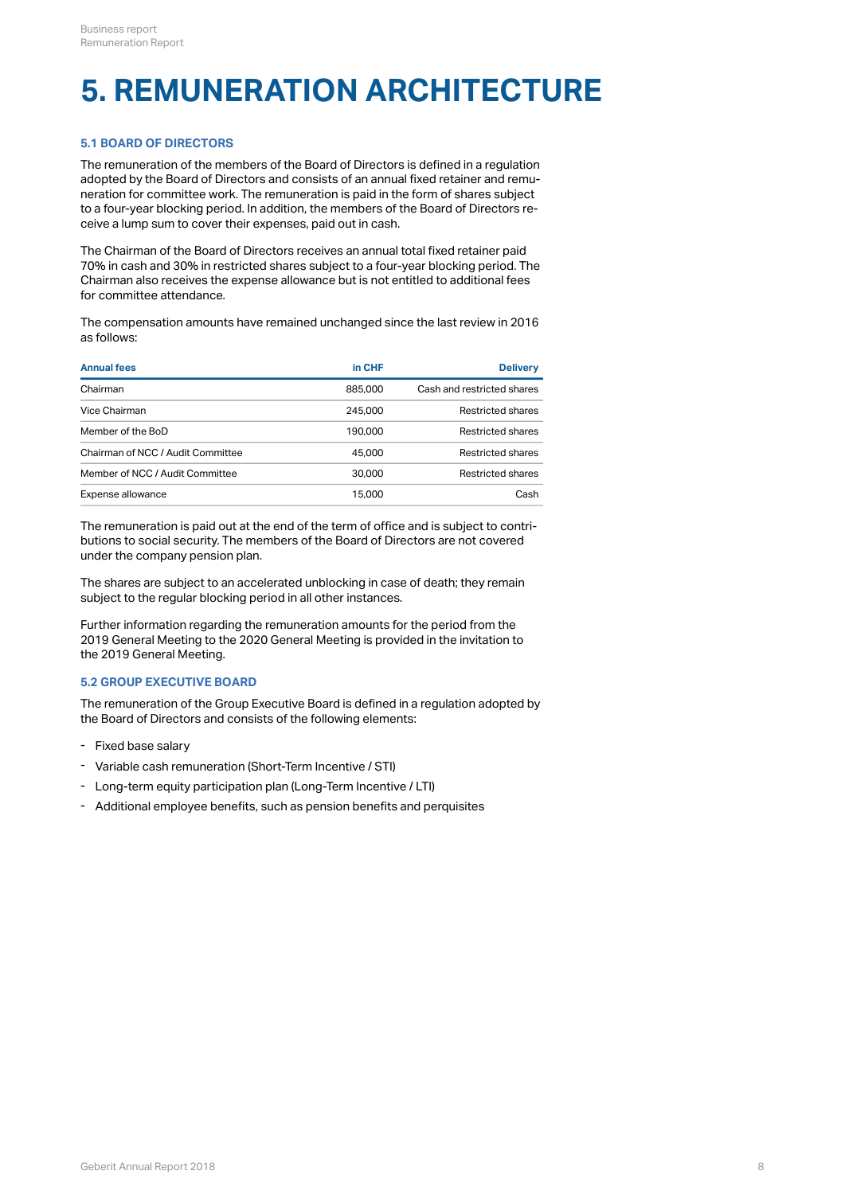# <span id="page-7-0"></span>**5. REMUNERATION ARCHITECTURE**

## **5.1 BOARD OF DIRECTORS**

The remuneration of the members of the Board of Directors is defined in a regulation adopted by the Board of Directors and consists of an annual fixed retainer and remuneration for committee work. The remuneration is paid in the form of shares subject to a four-year blocking period. In addition, the members of the Board of Directors receive a lump sum to cover their expenses, paid out in cash.

The Chairman of the Board of Directors receives an annual total fixed retainer paid 70% in cash and 30% in restricted shares subject to a four-year blocking period. The Chairman also receives the expense allowance but is not entitled to additional fees for committee attendance.

The compensation amounts have remained unchanged since the last review in 2016 as follows:

| <b>Annual fees</b>                | in CHF  | <b>Delivery</b>            |  |
|-----------------------------------|---------|----------------------------|--|
| Chairman                          | 885,000 | Cash and restricted shares |  |
| Vice Chairman                     | 245,000 | <b>Restricted shares</b>   |  |
| Member of the BoD                 | 190,000 | <b>Restricted shares</b>   |  |
| Chairman of NCC / Audit Committee | 45,000  | Restricted shares          |  |
| Member of NCC / Audit Committee   | 30,000  | Restricted shares          |  |
| Expense allowance                 | 15,000  | Cash                       |  |
|                                   |         |                            |  |

The remuneration is paid out at the end of the term of office and is subject to contributions to social security. The members of the Board of Directors are not covered under the company pension plan.

The shares are subject to an accelerated unblocking in case of death; they remain subject to the regular blocking period in all other instances.

Further information regarding the remuneration amounts for the period from the 2019 General Meeting to the 2020 General Meeting is provided in the invitation to the 2019 General Meeting.

## **5.2 GROUP EXECUTIVE BOARD**

The remuneration of the Group Executive Board is defined in a regulation adopted by the Board of Directors and consists of the following elements:

- Fixed base salary
- Variable cash remuneration (Short-Term Incentive / STI)
- Long-term equity participation plan (Long-Term Incentive / LTI)
- Additional employee benefits, such as pension benefits and perquisites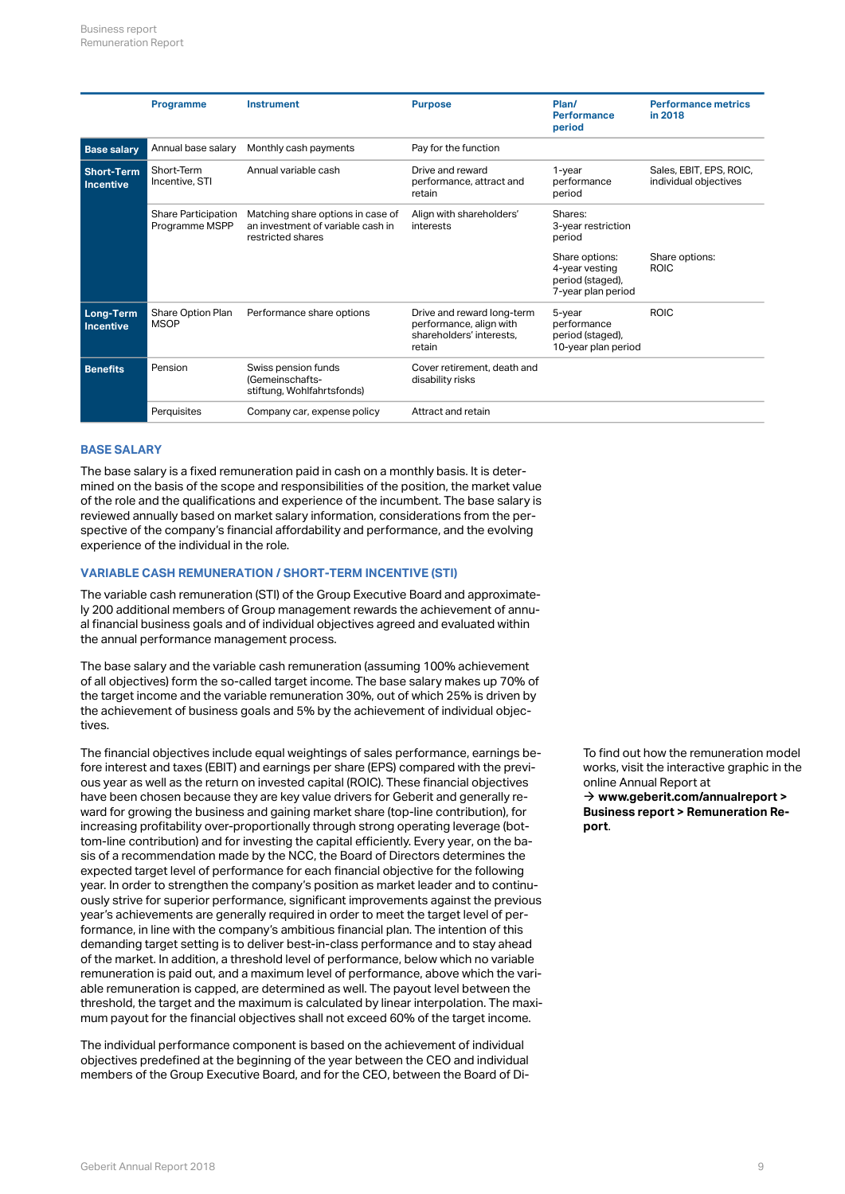|                                | Programme                             | <b>Instrument</b>                                                                           | <b>Purpose</b>                                                                              | Plan/<br><b>Performance</b><br>period                                      | <b>Performance metrics</b><br>in 2018            |
|--------------------------------|---------------------------------------|---------------------------------------------------------------------------------------------|---------------------------------------------------------------------------------------------|----------------------------------------------------------------------------|--------------------------------------------------|
| <b>Base salary</b>             | Annual base salary                    | Monthly cash payments                                                                       | Pay for the function                                                                        |                                                                            |                                                  |
| Short-Term<br><b>Incentive</b> | Short-Term<br>Incentive, STI          | Annual variable cash                                                                        | Drive and reward<br>performance, attract and<br>retain                                      | 1-year<br>performance<br>period                                            | Sales, EBIT, EPS, ROIC,<br>individual objectives |
|                                | Share Participation<br>Programme MSPP | Matching share options in case of<br>an investment of variable cash in<br>restricted shares | Align with shareholders'<br>interests                                                       | Shares:<br>3-year restriction<br>period                                    |                                                  |
|                                |                                       |                                                                                             |                                                                                             | Share options:<br>4-year vesting<br>period (staged),<br>7-year plan period | Share options:<br><b>ROIC</b>                    |
| Long-Term<br><b>Incentive</b>  | Share Option Plan<br><b>MSOP</b>      | Performance share options                                                                   | Drive and reward long-term<br>performance, align with<br>shareholders' interests.<br>retain | 5-year<br>performance<br>period (staged),<br>10-year plan period           | <b>ROIC</b>                                      |
| <b>Benefits</b>                | Pension                               | Swiss pension funds<br>(Gemeinschafts-<br>stiftung, Wohlfahrtsfonds)                        | Cover retirement, death and<br>disability risks                                             |                                                                            |                                                  |
|                                | Perquisites                           | Company car, expense policy                                                                 | Attract and retain                                                                          |                                                                            |                                                  |

#### **BASE SALARY**

The base salary is a fixed remuneration paid in cash on a monthly basis. It is determined on the basis of the scope and responsibilities of the position, the market value of the role and the qualifications and experience of the incumbent. The base salary is reviewed annually based on market salary information, considerations from the perspective of the company's financial affordability and performance, and the evolving experience of the individual in the role.

## **VARIABLE CASH REMUNERATION / SHORT-TERM INCENTIVE (STI)**

The variable cash remuneration (STI) of the Group Executive Board and approximately 200 additional members of Group management rewards the achievement of annual financial business goals and of individual objectives agreed and evaluated within the annual performance management process.

The base salary and the variable cash remuneration (assuming 100% achievement of all objectives) form the so-called target income. The base salary makes up 70% of the target income and the variable remuneration 30%, out of which 25% is driven by the achievement of business goals and 5% by the achievement of individual objectives.

The financial objectives include equal weightings of sales performance, earnings before interest and taxes (EBIT) and earnings per share (EPS) compared with the previous year as well as the return on invested capital (ROIC). These financial objectives have been chosen because they are key value drivers for Geberit and generally reward for growing the business and gaining market share (top-line contribution), for increasing profitability over-proportionally through strong operating leverage (bottom-line contribution) and for investing the capital efficiently. Every year, on the basis of a recommendation made by the NCC, the Board of Directors determines the expected target level of performance for each financial objective for the following year. In order to strengthen the company's position as market leader and to continuously strive for superior performance, significant improvements against the previous year's achievements are generally required in order to meet the target level of performance, in line with the company's ambitious financial plan. The intention of this demanding target setting is to deliver best-in-class performance and to stay ahead of the market. In addition, a threshold level of performance, below which no variable remuneration is paid out, and a maximum level of performance, above which the variable remuneration is capped, are determined as well. The payout level between the threshold, the target and the maximum is calculated by linear interpolation. The maximum payout for the financial objectives shall not exceed 60% of the target income.

The individual performance component is based on the achievement of individual objectives predefined at the beginning of the year between the CEO and individual members of the Group Executive Board, and for the CEO, between the Board of DiTo find out how the remuneration model works, visit the interactive graphic in the online Annual Report at **[www.geberit.com/annualreport >](http://geschaeftsbericht.geberit.com/reports/geberit/annual/2018/gb/English/1070/home.html) [Business report > Remuneration Re](http://geschaeftsbericht.geberit.com/reports/geberit/annual/2018/gb/English/1070/home.html)**→ www.geberit.com<br>Business re[port](http://geschaeftsbericht.geberit.com/reports/geberit/annual/2018/gb/English/1070/home.html) > R**e**<br>port.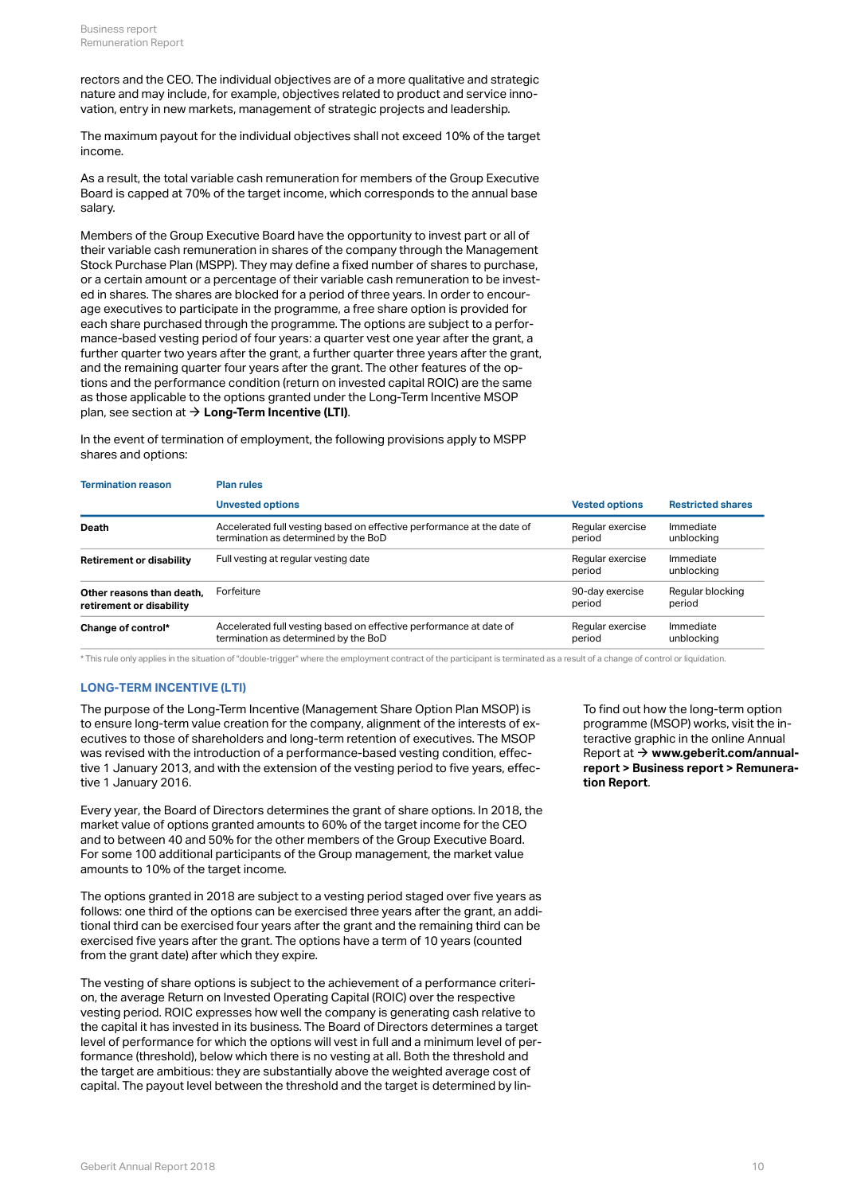rectors and the CEO. The individual objectives are of a more qualitative and strategic nature and may include, for example, objectives related to product and service innovation, entry in new markets, management of strategic projects and leadership.

The maximum payout for the individual objectives shall not exceed 10% of the target income.

As a result, the total variable cash remuneration for members of the Group Executive Board is capped at 70% of the target income, which corresponds to the annual base salary.

Members of the Group Executive Board have the opportunity to invest part or all of their variable cash remuneration in shares of the company through the Management Stock Purchase Plan (MSPP). They may define a fixed number of shares to purchase, or a certain amount or a percentage of their variable cash remuneration to be invested in shares. The shares are blocked for a period of three years. In order to encourage executives to participate in the programme, a free share option is provided for each share purchased through the programme. The options are subject to a performance-based vesting period of four years: a quarter vest one year after the grant, a further quarter two years after the grant, a further quarter three years after the grant, and the remaining quarter four years after the grant. The other features of the options and the performance condition (return on invested capital ROIC) are the same as those applicable to the options granted under the Long-Term Incentive MSOP plan, see section at  $\rightarrow$  <code>[Long-Term Incentive \(LTI\)](#page-9-0)</code>.

In the event of termination of employment, the following provisions apply to MSPP shares and options:

| <b>Termination reason</b>       | <b>Plan rules</b>                                                      |                            |                          |  |  |  |  |
|---------------------------------|------------------------------------------------------------------------|----------------------------|--------------------------|--|--|--|--|
|                                 | <b>Unvested options</b>                                                | <b>Vested options</b>      | <b>Restricted shares</b> |  |  |  |  |
| Death                           | Accelerated full vesting based on effective performance at the date of | Regular exercise           | Immediate                |  |  |  |  |
|                                 | termination as determined by the BoD                                   | period                     | unblocking               |  |  |  |  |
| <b>Retirement or disability</b> | Full vesting at regular vesting date                                   | Regular exercise<br>period | Immediate<br>unblocking  |  |  |  |  |
| Other reasons than death.       | Forfeiture                                                             | 90-day exercise            | Regular blocking         |  |  |  |  |
| retirement or disability        |                                                                        | period                     | period                   |  |  |  |  |
| Change of control*              | Accelerated full vesting based on effective performance at date of     | Regular exercise           | Immediate                |  |  |  |  |
|                                 | termination as determined by the BoD                                   | period                     | unblocking               |  |  |  |  |

\* This rule only applies in the situation of "double-trigger" where the employment contract of the participant is terminated as a result of a change of control or liquidation.

#### <span id="page-9-0"></span>**LONG-TERM INCENTIVE (LTI)**

The purpose of the Long-Term Incentive (Management Share Option Plan MSOP) is to ensure long-term value creation for the company, alignment of the interests of executives to those of shareholders and long-term retention of executives. The MSOP was revised with the introduction of a performance-based vesting condition, effective 1 January 2013, and with the extension of the vesting period to five years, effective 1 January 2016.

Every year, the Board of Directors determines the grant of share options. In 2018, the market value of options granted amounts to 60% of the target income for the CEO and to between 40 and 50% for the other members of the Group Executive Board. For some 100 additional participants of the Group management, the market value amounts to 10% of the target income.

The options granted in 2018 are subject to a vesting period staged over five years as follows: one third of the options can be exercised three years after the grant, an additional third can be exercised four years after the grant and the remaining third can be exercised five years after the grant. The options have a term of 10 years (counted from the grant date) after which they expire.

The vesting of share options is subject to the achievement of a performance criterion, the average Return on Invested Operating Capital (ROIC) over the respective vesting period. ROIC expresses how well the company is generating cash relative to the capital it has invested in its business. The Board of Directors determines a target level of performance for which the options will vest in full and a minimum level of performance (threshold), below which there is no vesting at all. Both the threshold and the target are ambitious: they are substantially above the weighted average cost of capital. The payout level between the threshold and the target is determined by linTo find out how the long-term option programme (MSOP) works, visit the interactive graphic in the online Annual Report at  $\rightarrow$  [www.geberit.com/annual](http://geschaeftsbericht.geberit.com/reports/geberit/annual/2018/gb/English/1070/home.html)**[report > Business report > Remunera](http://geschaeftsbericht.geberit.com/reports/geberit/annual/2018/gb/English/1070/home.html)[tion Report](http://geschaeftsbericht.geberit.com/reports/geberit/annual/2018/gb/English/1070/home.html)**.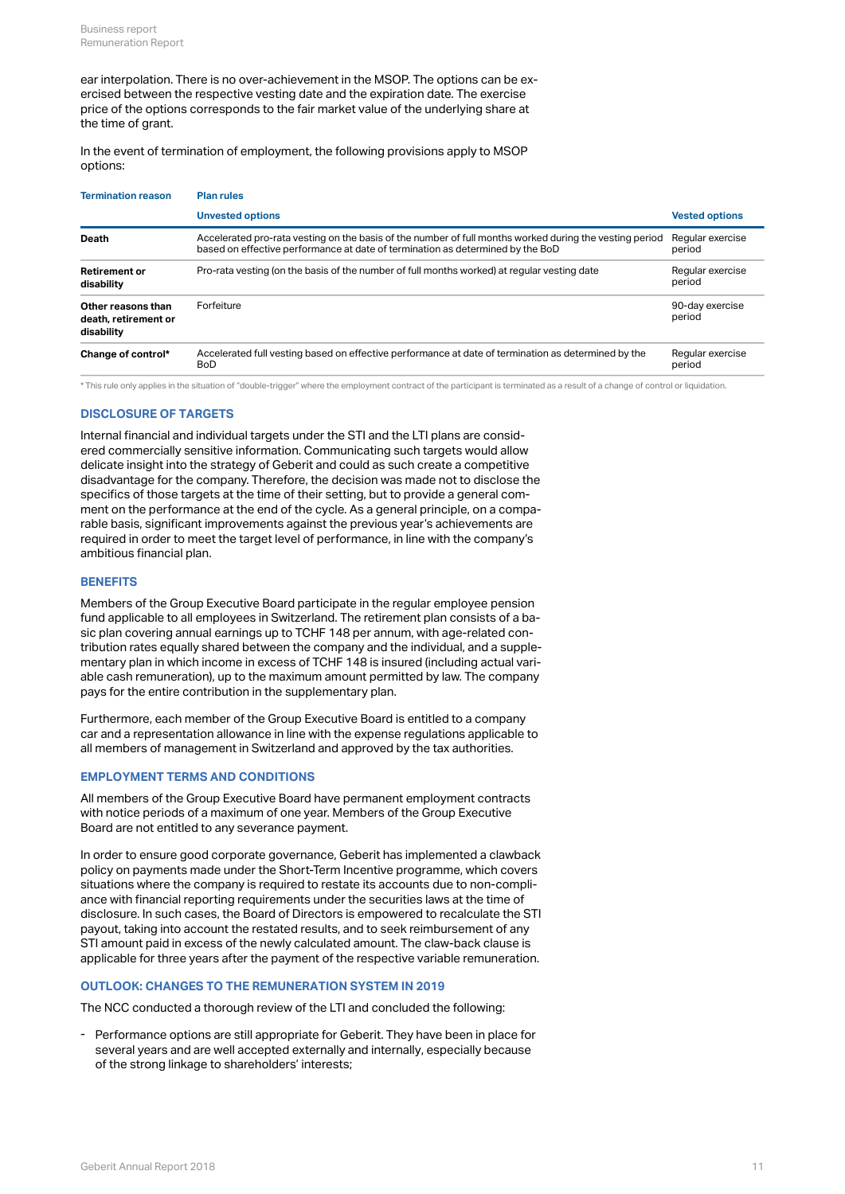ear interpolation. There is no over-achievement in the MSOP. The options can be exercised between the respective vesting date and the expiration date. The exercise price of the options corresponds to the fair market value of the underlying share at the time of grant.

In the event of termination of employment, the following provisions apply to MSOP options:

| <b>Termination reason</b>                                | <b>Plan rules</b>                                                                                                                                                                         |                            |  |  |  |  |  |
|----------------------------------------------------------|-------------------------------------------------------------------------------------------------------------------------------------------------------------------------------------------|----------------------------|--|--|--|--|--|
|                                                          | <b>Unvested options</b>                                                                                                                                                                   | <b>Vested options</b>      |  |  |  |  |  |
| Death                                                    | Accelerated pro-rata vesting on the basis of the number of full months worked during the vesting period<br>based on effective performance at date of termination as determined by the BoD | Regular exercise<br>period |  |  |  |  |  |
| <b>Retirement or</b><br>disability                       | Pro-rata vesting (on the basis of the number of full months worked) at regular vesting date                                                                                               | Regular exercise<br>period |  |  |  |  |  |
| Other reasons than<br>death, retirement or<br>disability | Forfeiture                                                                                                                                                                                | 90-day exercise<br>period  |  |  |  |  |  |
| Change of control*                                       | Accelerated full vesting based on effective performance at date of termination as determined by the<br><b>BoD</b>                                                                         | Regular exercise<br>period |  |  |  |  |  |

\* This rule only applies in the situation of "double-trigger" where the employment contract of the participant is terminated as a result of a change of control or liquidation.

#### **DISCLOSURE OF TARGETS**

Internal financial and individual targets under the STI and the LTI plans are considered commercially sensitive information. Communicating such targets would allow delicate insight into the strategy of Geberit and could as such create a competitive disadvantage for the company. Therefore, the decision was made not to disclose the specifics of those targets at the time of their setting, but to provide a general comment on the performance at the end of the cycle. As a general principle, on a comparable basis, significant improvements against the previous year's achievements are required in order to meet the target level of performance, in line with the company's ambitious financial plan.

### **BENEFITS**

Members of the Group Executive Board participate in the regular employee pension fund applicable to all employees in Switzerland. The retirement plan consists of a basic plan covering annual earnings up to TCHF 148 per annum, with age-related contribution rates equally shared between the company and the individual, and a supplementary plan in which income in excess of TCHF 148 is insured (including actual variable cash remuneration), up to the maximum amount permitted by law. The company pays for the entire contribution in the supplementary plan.

Furthermore, each member of the Group Executive Board is entitled to a company car and a representation allowance in line with the expense regulations applicable to all members of management in Switzerland and approved by the tax authorities.

#### **EMPLOYMENT TERMS AND CONDITIONS**

All members of the Group Executive Board have permanent employment contracts with notice periods of a maximum of one year. Members of the Group Executive Board are not entitled to any severance payment.

In order to ensure good corporate governance, Geberit has implemented a clawback policy on payments made under the Short-Term Incentive programme, which covers situations where the company is required to restate its accounts due to non-compliance with financial reporting requirements under the securities laws at the time of disclosure. In such cases, the Board of Directors is empowered to recalculate the STI payout, taking into account the restated results, and to seek reimbursement of any STI amount paid in excess of the newly calculated amount. The claw-back clause is applicable for three years after the payment of the respective variable remuneration.

### <span id="page-10-0"></span>**OUTLOOK: CHANGES TO THE REMUNERATION SYSTEM IN 2019**

The NCC conducted a thorough review of the LTI and concluded the following:

Performance options are still appropriate for Geberit. They have been in place for several years and are well accepted externally and internally, especially because - Performance options are still appropriate for Geberit. They have<br>several years and are well accepted externally and internally, es<br>of the strong linkage to shareholders' interests;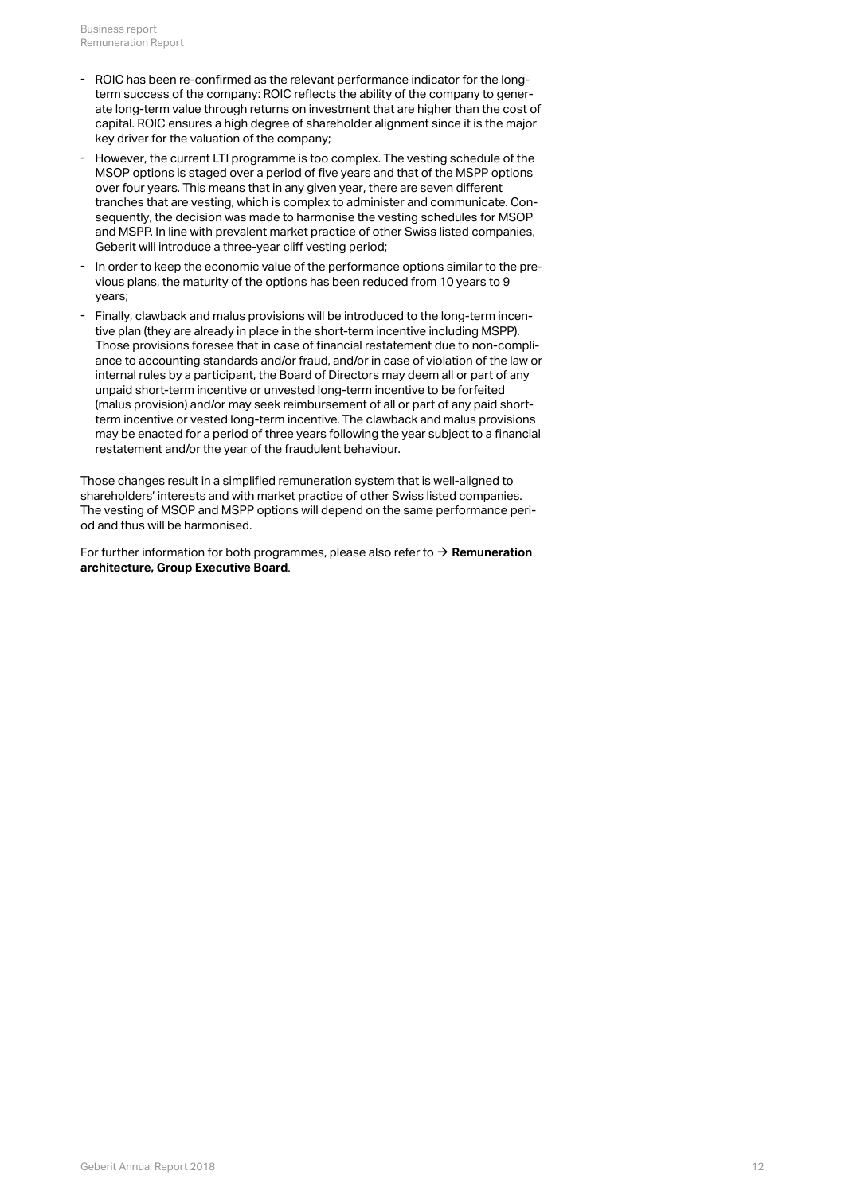- ROIC has been re-confirmed as the relevant performance indicator for the longterm success of the company: ROIC reflects the ability of the company to generate long-term value through returns on investment that are higher than the cost of capital. ROIC ensures a high degree of shareholder alignment since it is the major - ROIC has been re-confirmed as the relevant performance in<br>term success of the company: ROIC reflects the ability of th<br>ate long-term value through returns on investment that are<br>capital. ROIC ensures a high degree of sha
- However, the current LTI programme is too complex. The vesting schedule of the MSOP options is staged over a period of five years and that of the MSPP options over four years. This means that in any given year, there are seven different tranches that are vesting, which is complex to administer and communicate. Consequently, the decision was made to harmonise the vesting schedules for MSOP and MSPP. In line with prevalent market practice of other Swiss listed companies, Geberit will introduce a three-year cliff vesting period;
- In order to keep the economic value of the performance options similar to the previous plans, the maturity of the options has been reduced from 10 years to 9 - In order to keep the econd<br>vious plans, the maturity o<br>years;
- Finally, clawback and malus provisions will be introduced to the long-term incentive plan (they are already in place in the short-term incentive including MSPP). Those provisions foresee that in case of financial restatement due to non-compliance to accounting standards and/or fraud, and/or in case of violation of the law or internal rules by a participant, the Board of Directors may deem all or part of any unpaid short-term incentive or unvested long-term incentive to be forfeited (malus provision) and/or may seek reimbursement of all or part of any paid shortterm incentive or vested long-term incentive. The clawback and malus provisions may be enacted for a period of three years following the year subject to a financial restatement and/or the year of the fraudulent behaviour.

Those changes result in a simplified remuneration system that is well-aligned to shareholders' interests and with market practice of other Swiss listed companies. The vesting of MSOP and MSPP options will depend on the same performance period and thus will be harmonised.

For further information for both programmes, please also refer to  $\rightarrow$  **[Remuneration](#page-7-0) [architecture, Group Executive Board](#page-7-0)**.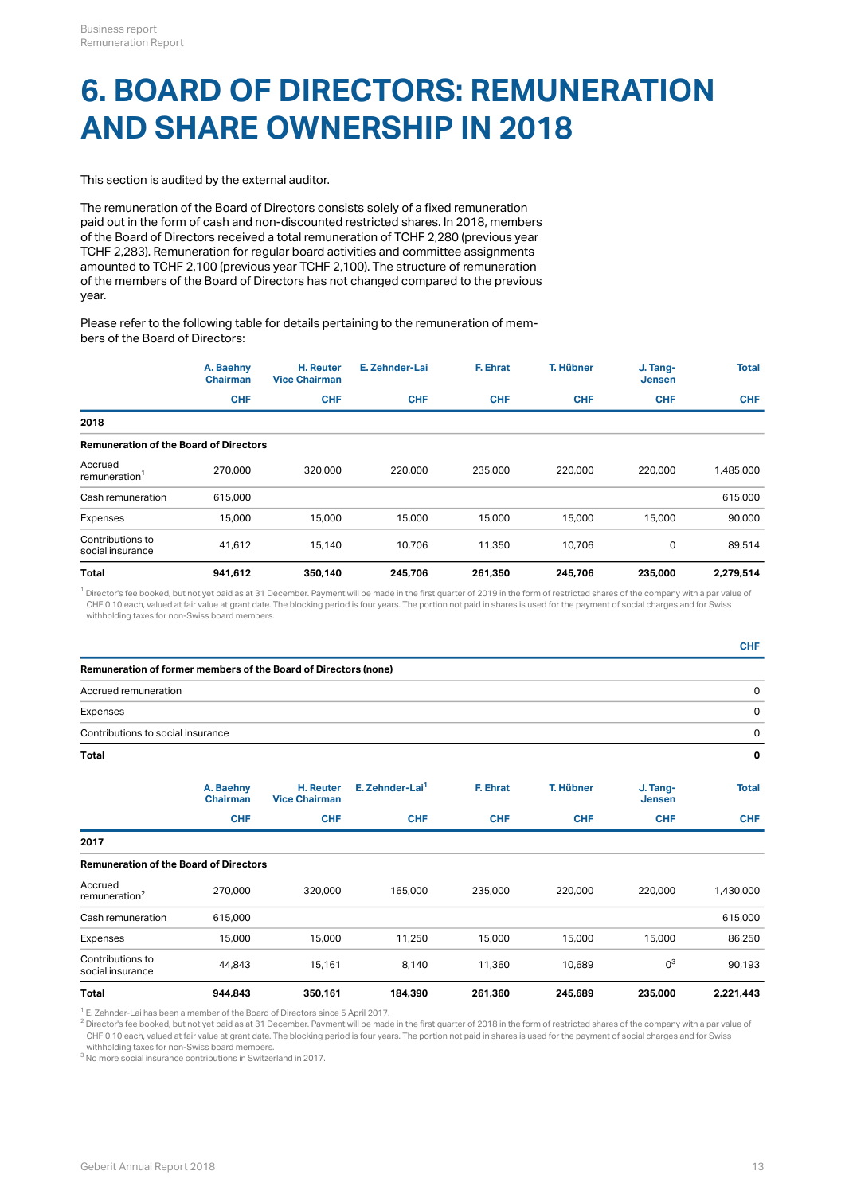## **6. BOARD OF DIRECTORS: REMUNERATION AND SHARE OWNERSHIP IN 2018**

This section is audited by the external auditor.

The remuneration of the Board of Directors consists solely of a fixed remuneration paid out in the form of cash and non-discounted restricted shares. In 2018, members of the Board of Directors received a total remuneration of TCHF 2,280 (previous year TCHF 2,283). Remuneration for regular board activities and committee assignments amounted to TCHF 2,100 (previous year TCHF 2,100). The structure of remuneration of the members of the Board of Directors has not changed compared to the previous year.

Please refer to the following table for details pertaining to the remuneration of members of the Board of Directors:

|                                               | A. Baehny<br><b>Chairman</b><br><b>CHF</b> |         | H. Reuter<br><b>Vice Chairman</b> | E. Zehnder-Lai | F. Ehrat   | T. Hübner  | J. Tang-<br><b>Jensen</b> | <b>Total</b><br><b>CHF</b> |
|-----------------------------------------------|--------------------------------------------|---------|-----------------------------------|----------------|------------|------------|---------------------------|----------------------------|
|                                               |                                            |         | <b>CHF</b>                        | <b>CHF</b>     | <b>CHF</b> | <b>CHF</b> | <b>CHF</b>                |                            |
| 2018                                          |                                            |         |                                   |                |            |            |                           |                            |
| <b>Remuneration of the Board of Directors</b> |                                            |         |                                   |                |            |            |                           |                            |
| Accrued<br>remuneration <sup>1</sup>          | 270,000                                    | 320,000 | 220,000                           | 235,000        | 220,000    | 220,000    | 1,485,000                 |                            |
| Cash remuneration                             | 615,000                                    |         |                                   |                |            |            | 615,000                   |                            |
| Expenses                                      | 15,000                                     | 15,000  | 15,000                            | 15,000         | 15,000     | 15,000     | 90,000                    |                            |
| Contributions to<br>social insurance          | 41,612                                     | 15,140  | 10,706                            | 11,350         | 10,706     | 0          | 89,514                    |                            |
| <b>Total</b>                                  | 941,612                                    | 350,140 | 245,706                           | 261,350        | 245,706    | 235,000    | 2,279,514                 |                            |

 $^{\rm 1}$  Director's fee booked, but not yet paid as at 31 December. Payment will be made in the first quarter of 2019 in the form of restricted shares of the company with a par value of CHF 0.10 each, valued at fair value at grant date. The blocking period is four years. The portion not paid in shares is used for the payment of social charges and for Swiss withholding taxes for non-Swiss board members.

| <b>Total</b>                                                    | 944,843                      | 350,161                           | 184,390                     | 261,360    | 245,689    | 235,000                   | 2,221,443    |
|-----------------------------------------------------------------|------------------------------|-----------------------------------|-----------------------------|------------|------------|---------------------------|--------------|
| Contributions to<br>social insurance                            | 44,843                       | 15,161                            | 8,140                       | 11,360     | 10,689     | $0^3$                     | 90,193       |
| Expenses                                                        | 15,000                       | 15,000                            | 11,250                      | 15,000     | 15,000     | 15,000                    | 86,250       |
| Cash remuneration                                               | 615,000                      |                                   |                             |            |            |                           | 615,000      |
| Accrued<br>remuneration <sup>2</sup>                            | 270,000                      | 320,000                           | 165,000                     | 235,000    | 220,000    | 220,000                   | 1,430,000    |
| <b>Remuneration of the Board of Directors</b>                   |                              |                                   |                             |            |            |                           |              |
| 2017                                                            |                              |                                   |                             |            |            |                           |              |
|                                                                 | <b>CHF</b>                   | <b>CHF</b>                        | <b>CHF</b>                  | <b>CHF</b> | <b>CHF</b> | <b>CHF</b>                | <b>CHF</b>   |
|                                                                 | A. Baehny<br><b>Chairman</b> | H. Reuter<br><b>Vice Chairman</b> | E. Zehnder-Lai <sup>1</sup> | F. Ehrat   | T. Hübner  | J. Tang-<br><b>Jensen</b> | <b>Total</b> |
| Total                                                           |                              |                                   |                             |            |            |                           | 0            |
| Contributions to social insurance                               |                              |                                   |                             |            |            |                           | 0            |
| Expenses                                                        |                              |                                   |                             |            |            |                           | 0            |
| Accrued remuneration                                            |                              |                                   |                             |            |            |                           | 0            |
| Remuneration of former members of the Board of Directors (none) |                              |                                   |                             |            |            |                           |              |
|                                                                 |                              |                                   |                             |            |            |                           | <b>CHF</b>   |

 $^{\text{\tiny{1}}}$  E. Zehnder-Lai has been a member of the Board of Directors since 5 April 2017.

 $^2$  Director's fee booked, but not yet paid as at 31 December. Payment will be made in the first quarter of 2018 in the form of restricted shares of the company with a par value of CHF 0.10 each, valued at fair value at grant date. The blocking period is four years. The portion not paid in shares is used for the payment of social charges and for Swiss withholding taxes for non-Swiss board members.

 $^3$  No more social insurance contributions in Switzerland in 2017.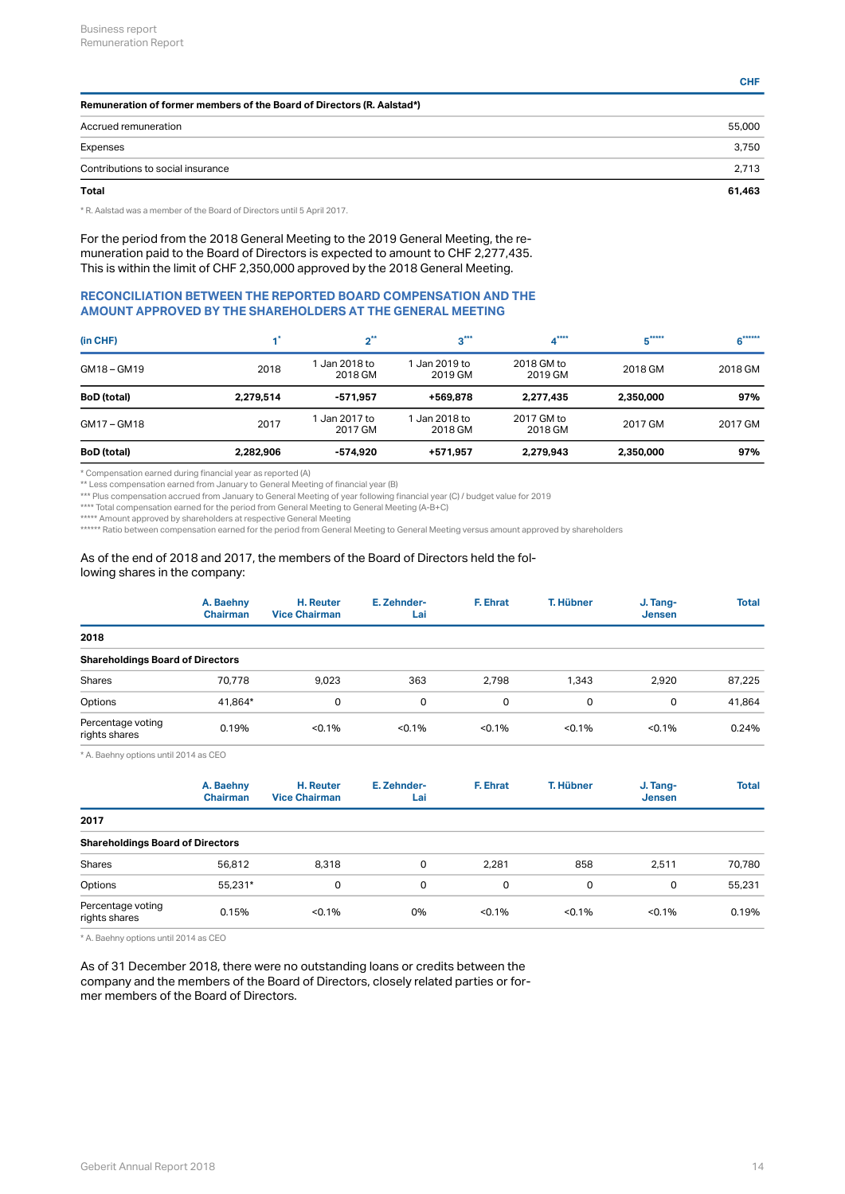| Remuneration of former members of the Board of Directors (R. Aalstad*) |        |  |  |  |  |  |  |  |
|------------------------------------------------------------------------|--------|--|--|--|--|--|--|--|
| Accrued remuneration                                                   | 55,000 |  |  |  |  |  |  |  |
| Expenses                                                               | 3,750  |  |  |  |  |  |  |  |
| Contributions to social insurance                                      | 2,713  |  |  |  |  |  |  |  |
| <b>Total</b>                                                           | 61,463 |  |  |  |  |  |  |  |

\* R. Aalstad was a member of the Board of Directors until 5 April 2017.

For the period from the 2018 General Meeting to the 2019 General Meeting, the remuneration paid to the Board of Directors is expected to amount to CHF 2,277,435. This is within the limit of CHF 2,350,000 approved by the 2018 General Meeting.

## **RECONCILIATION BETWEEN THE REPORTED BOARD COMPENSATION AND THE AMOUNT APPROVED BY THE SHAREHOLDERS AT THE GENERAL MEETING**

| (in CHF)           |           | $n^{**}$                 | $3***$                   | ****                  | $*****$   | $*****$ |
|--------------------|-----------|--------------------------|--------------------------|-----------------------|-----------|---------|
| GM18-GM19          | 2018      | l Jan 2018 to<br>2018 GM | I Jan 2019 to<br>2019 GM | 2018 GM to<br>2019 GM | 2018 GM   | 2018 GM |
| <b>BoD</b> (total) | 2.279.514 | $-571.957$               | +569,878                 | 2,277,435             | 2,350,000 | 97%     |
| GM17-GM18          | 2017      | l Jan 2017 to<br>2017 GM | 1 Jan 2018 to<br>2018 GM | 2017 GM to<br>2018 GM | 2017 GM   | 2017 GM |
| <b>BoD</b> (total) | 2,282,906 | -574,920                 | +571,957                 | 2,279,943             | 2,350,000 | 97%     |

\* Compensation earned during financial year as reported (A)

\*\* Less compensation earned from January to General Meeting of financial year (B)

\*\*\* Plus compensation accrued from January to General Meeting of year following financial year (C) / budget value for 2019

\*\*\*\* Total compensation earned for the period from General Meeting to General Meeting (A-B+C)

\*\*\*\*\* Amount approved by shareholders at respective General Meeting

\*\*\*\*\*\* Ratio between compensation earned for the period from General Meeting to General Meeting versus amount approved by shareholders

## As of the end of 2018 and 2017, the members of the Board of Directors held the following shares in the company:

|                                         | A. Baehny<br><b>Chairman</b> | <b>H.</b> Reuter<br><b>Vice Chairman</b> | E. Zehnder-<br>Lai | F. Ehrat    | T. Hübner | J. Tang-<br><b>Jensen</b> | <b>Total</b> |
|-----------------------------------------|------------------------------|------------------------------------------|--------------------|-------------|-----------|---------------------------|--------------|
| 2018                                    |                              |                                          |                    |             |           |                           |              |
| <b>Shareholdings Board of Directors</b> |                              |                                          |                    |             |           |                           |              |
| Shares                                  | 70,778                       | 9,023                                    | 363                | 2,798       | 1,343     | 2,920                     | 87,225       |
| Options                                 | 41,864*                      | 0                                        | 0                  | $\mathbf 0$ | 0         | 0                         | 41,864       |
| Percentage voting<br>rights shares      | 0.19%                        | < 0.1%                                   | < 0.1%             | $< 0.1\%$   | < 0.1%    | < 0.1%                    | 0.24%        |
|                                         |                              |                                          |                    |             |           |                           |              |

\* A. Baehny options until 2014 as CEO

|                                         | A. Baehny<br><b>Chairman</b> | <b>H.</b> Reuter<br><b>Vice Chairman</b> | E. Zehnder-<br>Lai | F. Ehrat    | T. Hübner | J. Tang-<br><b>Jensen</b> | <b>Total</b> |
|-----------------------------------------|------------------------------|------------------------------------------|--------------------|-------------|-----------|---------------------------|--------------|
| 2017                                    |                              |                                          |                    |             |           |                           |              |
| <b>Shareholdings Board of Directors</b> |                              |                                          |                    |             |           |                           |              |
| Shares                                  | 56,812                       | 8,318                                    | 0                  | 2,281       | 858       | 2,511                     | 70,780       |
| Options                                 | 55,231*                      | $\Omega$                                 | 0                  | $\mathbf 0$ | 0         | 0                         | 55,231       |
| Percentage voting<br>rights shares      | 0.15%                        | < 0.1%                                   | 0%                 | $< 0.1\%$   | < 0.1%    | < 0.1%                    | 0.19%        |
|                                         |                              |                                          |                    |             |           |                           |              |

\* A. Baehny options until 2014 as CEO

As of 31 December 2018, there were no outstanding loans or credits between the company and the members of the Board of Directors, closely related parties or former members of the Board of Directors.

**CHF**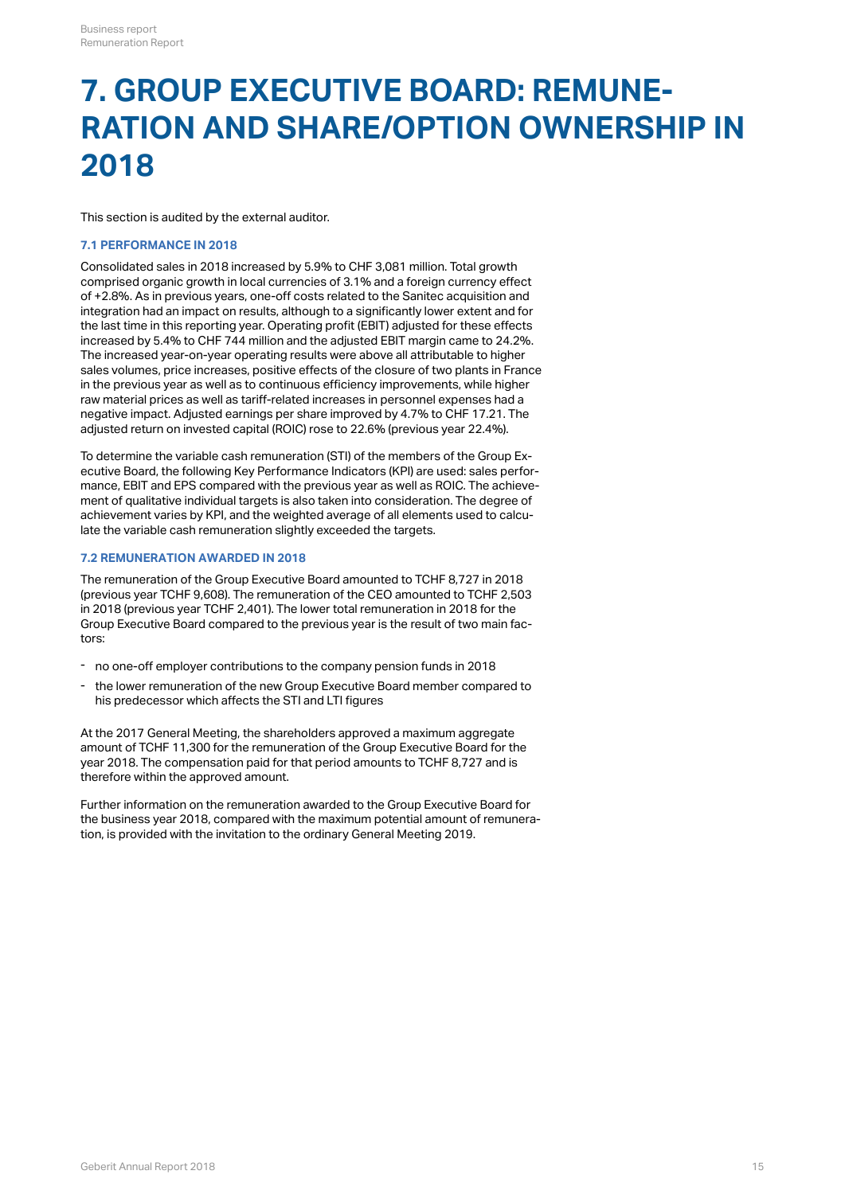## <span id="page-14-0"></span>**7. GROUP EXECUTIVE BOARD: REMUNE-RATION AND SHARE/OPTION OWNERSHIP IN 2018**

This section is audited by the external auditor.

## **7.1 PERFORMANCE IN 2018**

Consolidated sales in 2018 increased by 5.9% to CHF 3,081 million. Total growth comprised organic growth in local currencies of 3.1% and a foreign currency effect of +2.8%. As in previous years, one-off costs related to the Sanitec acquisition and integration had an impact on results, although to a significantly lower extent and for the last time in this reporting year. Operating profit (EBIT) adjusted for these effects increased by 5.4% to CHF 744 million and the adjusted EBIT margin came to 24.2%. The increased year-on-year operating results were above all attributable to higher sales volumes, price increases, positive effects of the closure of two plants in France in the previous year as well as to continuous efficiency improvements, while higher raw material prices as well as tariff-related increases in personnel expenses had a negative impact. Adjusted earnings per share improved by 4.7% to CHF 17.21. The adjusted return on invested capital (ROIC) rose to 22.6% (previous year 22.4%).

To determine the variable cash remuneration (STI) of the members of the Group Executive Board, the following Key Performance Indicators (KPI) are used: sales performance, EBIT and EPS compared with the previous year as well as ROIC. The achievement of qualitative individual targets is also taken into consideration. The degree of achievement varies by KPI, and the weighted average of all elements used to calculate the variable cash remuneration slightly exceeded the targets.

#### **7.2 REMUNERATION AWARDED IN 2018**

The remuneration of the Group Executive Board amounted to TCHF 8,727 in 2018 (previous year TCHF 9,608). The remuneration of the CEO amounted to TCHF 2,503 in 2018 (previous year TCHF 2,401). The lower total remuneration in 2018 for the Group Executive Board compared to the previous year is the result of two main factors:

- no one-off employer contributions to the company pension funds in 2018
- the lower remuneration of the new Group Executive Board member compared to his predecessor which affects the STI and LTI figures -

At the 2017 General Meeting, the shareholders approved a maximum aggregate amount of TCHF 11,300 for the remuneration of the Group Executive Board for the year 2018. The compensation paid for that period amounts to TCHF 8,727 and is therefore within the approved amount.

Further information on the remuneration awarded to the Group Executive Board for the business year 2018, compared with the maximum potential amount of remuneration, is provided with the invitation to the ordinary General Meeting 2019.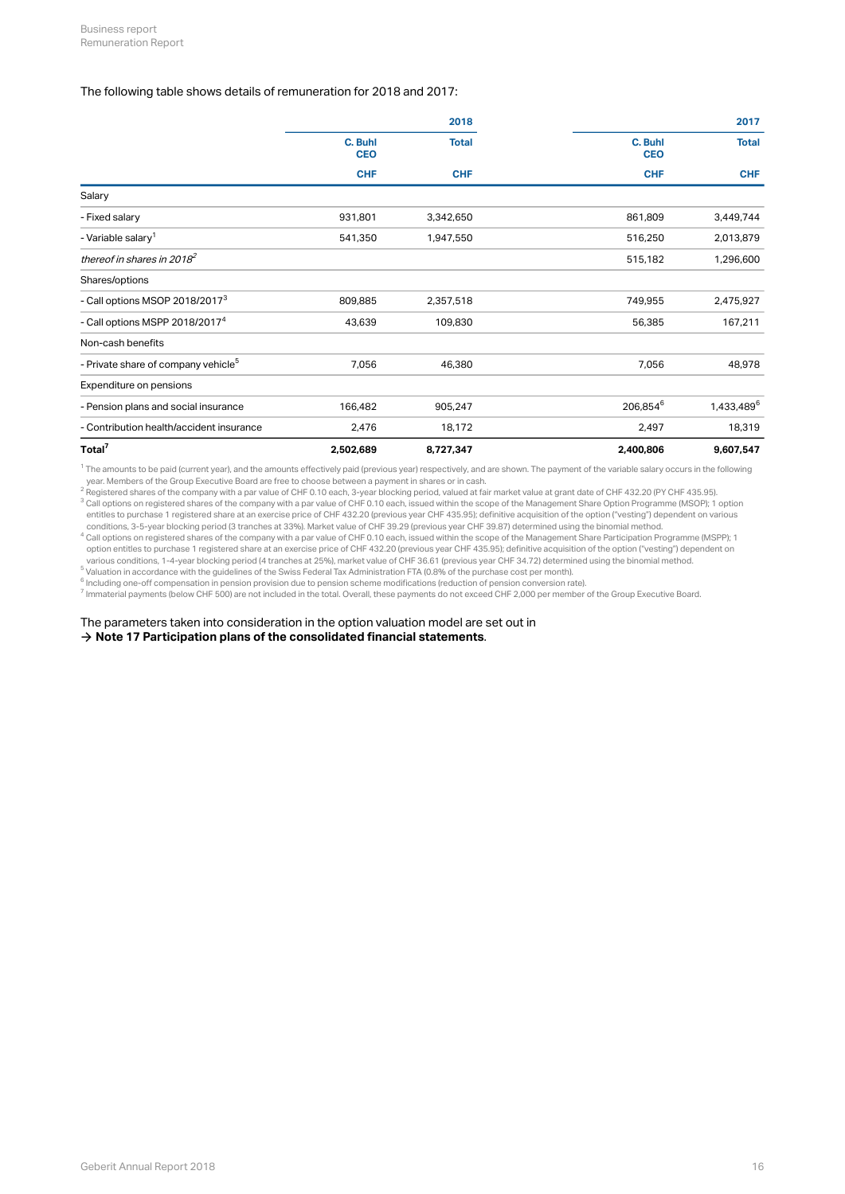### The following table shows details of remuneration for 2018 and 2017:

|                                                 |                       | 2018         |                       | 2017                   |  |  |
|-------------------------------------------------|-----------------------|--------------|-----------------------|------------------------|--|--|
|                                                 | C. Buhl<br><b>CEO</b> | <b>Total</b> | C. Buhl<br><b>CEO</b> | <b>Total</b>           |  |  |
|                                                 | <b>CHF</b>            | <b>CHF</b>   | <b>CHF</b>            | <b>CHF</b>             |  |  |
| Salary                                          |                       |              |                       |                        |  |  |
| - Fixed salary                                  | 931,801               | 3,342,650    | 861,809               | 3,449,744              |  |  |
| - Variable salary <sup>1</sup>                  | 541,350               | 1,947,550    | 516,250               | 2,013,879              |  |  |
| thereof in shares in 2018 <sup>2</sup>          |                       |              | 515,182               | 1,296,600              |  |  |
| Shares/options                                  |                       |              |                       |                        |  |  |
| - Call options MSOP 2018/2017 <sup>3</sup>      | 809,885               | 2,357,518    | 749,955               | 2,475,927              |  |  |
| - Call options MSPP 2018/2017 <sup>4</sup>      | 43,639                | 109,830      | 56,385                | 167,211                |  |  |
| Non-cash benefits                               |                       |              |                       |                        |  |  |
| - Private share of company vehicle <sup>5</sup> | 7,056                 | 46,380       | 7,056                 | 48,978                 |  |  |
| Expenditure on pensions                         |                       |              |                       |                        |  |  |
| - Pension plans and social insurance            | 166,482               | 905,247      | 206,854 <sup>6</sup>  | 1,433,489 <sup>6</sup> |  |  |
| - Contribution health/accident insurance        | 2,476                 | 18,172       | 2,497                 | 18,319                 |  |  |
| Total <sup>7</sup>                              | 2,502,689             | 8,727,347    | 2,400,806             | 9,607,547              |  |  |

 $^{\rm 1}$  The amounts to be paid (current year), and the amounts effectively paid (previous year) respectively, and are shown. The payment of the variable salary occurs in the following year. Members of the Group Executive Board are free to choose between a payment in shares or in cash.

 $^2$  Registered shares of the company with a par value of CHF 0.10 each, 3-year blocking period, valued at fair market value at grant date of CHF 432.20 (PY CHF 435.95). Call options on registered shares of the company with a par value of CHF 0.10 each, issued within the scope of the Management Share Option Programme (MSOP); 1 option entitles to purchase 1 registered share at an exercise price of CHF 432.20 (previous year CHF 435.95); definitive acquisition of the option ("vesting") dependent on various conditions, 3-5-year blocking period (3 tranches at 33%). Market value of CHF 39.29 (previous year CHF 39.87) determined using the binomial method.  $^3$  Coll options on registered abu

 $^4$  Call options on registered shares of the company with a par value of CHF 0.10 each, issued within the scope of the Management Share Participation Programme (MSPP); 1 option entitles to purchase 1 registered share at an exercise price of CHF 432.20 (previous year CHF 435.95); definitive acquisition of the option ("vesting") dependent on various conditions, 1-4-year blocking period (4 tranches at 25%), market value of CHF 36.61 (previous year CHF 34.72) determined using the binomial method.

 $^5$  Valuation in accordance with the guidelines of the Swiss Federal Tax Administration FTA (0.8% of the purchase cost per month). <sup>6</sup> Including one-off compensation in pension provision due to pension scheme modifications (reduction of pension conversion rate).

 $^7$  Immaterial payments (below CHF 500) are not included in the total. Overall, these payments do not exceed CHF 2,000 per member of the Group Executive Board.

The parameters taken into consideration in the option valuation model are set out in  $\rightarrow$  [Note 17 Participation plans of the consolidated financial statements](http://annualreport.geberit.com/reports/geberit/annual/2018/gb/English/20405017/17_-participation-plans.html).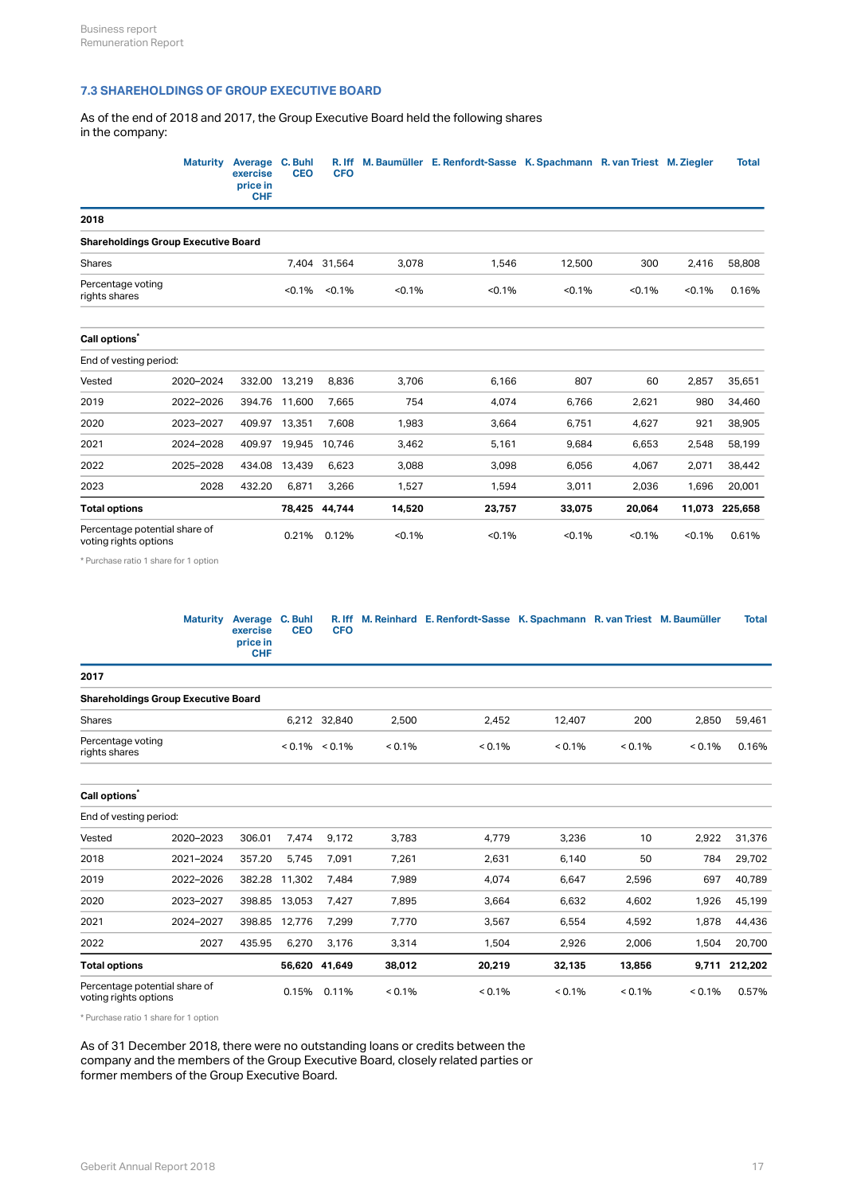## **7.3 SHAREHOLDINGS OF GROUP EXECUTIVE BOARD**

As of the end of 2018 and 2017, the Group Executive Board held the following shares in the company:

|                                                        | <b>Maturity</b> | Average C. Buhl<br>exercise<br>price in<br><b>CHF</b> | <b>CEO</b>    | <b>CFO</b>       |        | R. Iff M. Baumüller E. Renfordt-Sasse K. Spachmann R. van Triest M. Ziegler |        |        |        | <b>Total</b>   |
|--------------------------------------------------------|-----------------|-------------------------------------------------------|---------------|------------------|--------|-----------------------------------------------------------------------------|--------|--------|--------|----------------|
| 2018                                                   |                 |                                                       |               |                  |        |                                                                             |        |        |        |                |
| <b>Shareholdings Group Executive Board</b>             |                 |                                                       |               |                  |        |                                                                             |        |        |        |                |
| <b>Shares</b>                                          |                 |                                                       |               | 7,404 31,564     | 3,078  | 1,546                                                                       | 12,500 | 300    | 2,416  | 58,808         |
| Percentage voting<br>rights shares                     |                 |                                                       |               | $< 0.1\%$ < 0.1% | < 0.1% | < 0.1%                                                                      | < 0.1% | < 0.1% | < 0.1% | 0.16%          |
| Call options <sup>*</sup>                              |                 |                                                       |               |                  |        |                                                                             |        |        |        |                |
| End of vesting period:                                 |                 |                                                       |               |                  |        |                                                                             |        |        |        |                |
| Vested                                                 | 2020-2024       |                                                       | 332.00 13,219 | 8,836            | 3,706  | 6,166                                                                       | 807    | 60     | 2,857  | 35,651         |
| 2019                                                   | 2022-2026       |                                                       | 394.76 11,600 | 7,665            | 754    | 4,074                                                                       | 6,766  | 2,621  | 980    | 34,460         |
| 2020                                                   | 2023-2027       | 409.97                                                | 13,351        | 7,608            | 1,983  | 3,664                                                                       | 6,751  | 4,627  | 921    | 38,905         |
| 2021                                                   | 2024-2028       | 409.97                                                | 19,945        | 10,746           | 3,462  | 5,161                                                                       | 9,684  | 6,653  | 2,548  | 58,199         |
| 2022                                                   | 2025-2028       | 434.08                                                | 13,439        | 6,623            | 3,088  | 3,098                                                                       | 6,056  | 4,067  | 2,071  | 38,442         |
| 2023                                                   | 2028            | 432.20                                                | 6,871         | 3,266            | 1,527  | 1,594                                                                       | 3,011  | 2,036  | 1,696  | 20,001         |
| <b>Total options</b>                                   |                 |                                                       |               | 78,425 44,744    | 14,520 | 23,757                                                                      | 33,075 | 20,064 |        | 11,073 225,658 |
| Percentage potential share of<br>voting rights options |                 |                                                       |               | 0.21% 0.12%      | < 0.1% | < 0.1%                                                                      | < 0.1% | < 0.1% | < 0.1% | 0.61%          |

\* Purchase ratio 1 share for 1 option

|                                            | Maturity Average C. Buhl<br>exercise<br>price in<br><b>CHF</b> | <b>CEO</b>          | <b>CFO</b> |           | R. Iff M. Reinhard E. Renfordt-Sasse K. Spachmann R. van Triest M. Baumüller |           |           |           | <b>Total</b> |
|--------------------------------------------|----------------------------------------------------------------|---------------------|------------|-----------|------------------------------------------------------------------------------|-----------|-----------|-----------|--------------|
| 2017                                       |                                                                |                     |            |           |                                                                              |           |           |           |              |
| <b>Shareholdings Group Executive Board</b> |                                                                |                     |            |           |                                                                              |           |           |           |              |
| Shares                                     |                                                                | 6,212 32,840        |            | 2,500     | 2.452                                                                        | 12,407    | 200       | 2,850     | 59,461       |
| Percentage voting<br>rights shares         |                                                                | $< 0.1\%$ $< 0.1\%$ |            | $< 0.1\%$ | $< 0.1\%$                                                                    | $< 0.1\%$ | $< 0.1\%$ | $< 0.1\%$ | 0.16%        |

| Call options <sup>*</sup>                              |           |        |        |               |           |           |           |           |           |               |
|--------------------------------------------------------|-----------|--------|--------|---------------|-----------|-----------|-----------|-----------|-----------|---------------|
| End of vesting period:                                 |           |        |        |               |           |           |           |           |           |               |
| Vested                                                 | 2020-2023 | 306.01 | 7,474  | 9,172         | 3,783     | 4,779     | 3,236     | 10        | 2,922     | 31,376        |
| 2018                                                   | 2021-2024 | 357.20 | 5,745  | 7,091         | 7,261     | 2,631     | 6,140     | 50        | 784       | 29,702        |
| 2019                                                   | 2022-2026 | 382.28 | 11,302 | 7,484         | 7,989     | 4,074     | 6,647     | 2,596     | 697       | 40,789        |
| 2020                                                   | 2023-2027 | 398.85 | 13,053 | 7,427         | 7,895     | 3,664     | 6,632     | 4,602     | 1,926     | 45,199        |
| 2021                                                   | 2024-2027 | 398.85 | 12,776 | 7,299         | 7,770     | 3,567     | 6,554     | 4,592     | 1,878     | 44,436        |
| 2022                                                   | 2027      | 435.95 | 6,270  | 3,176         | 3,314     | 1,504     | 2,926     | 2,006     | 1,504     | 20,700        |
| <b>Total options</b>                                   |           |        |        | 56,620 41,649 | 38,012    | 20,219    | 32,135    | 13,856    |           | 9,711 212,202 |
| Percentage potential share of<br>voting rights options |           |        | 0.15%  | 0.11%         | $< 0.1\%$ | $< 0.1\%$ | $< 0.1\%$ | $< 0.1\%$ | $< 0.1\%$ | 0.57%         |

\* Purchase ratio 1 share for 1 option

As of 31 December 2018, there were no outstanding loans or credits between the company and the members of the Group Executive Board, closely related parties or former members of the Group Executive Board.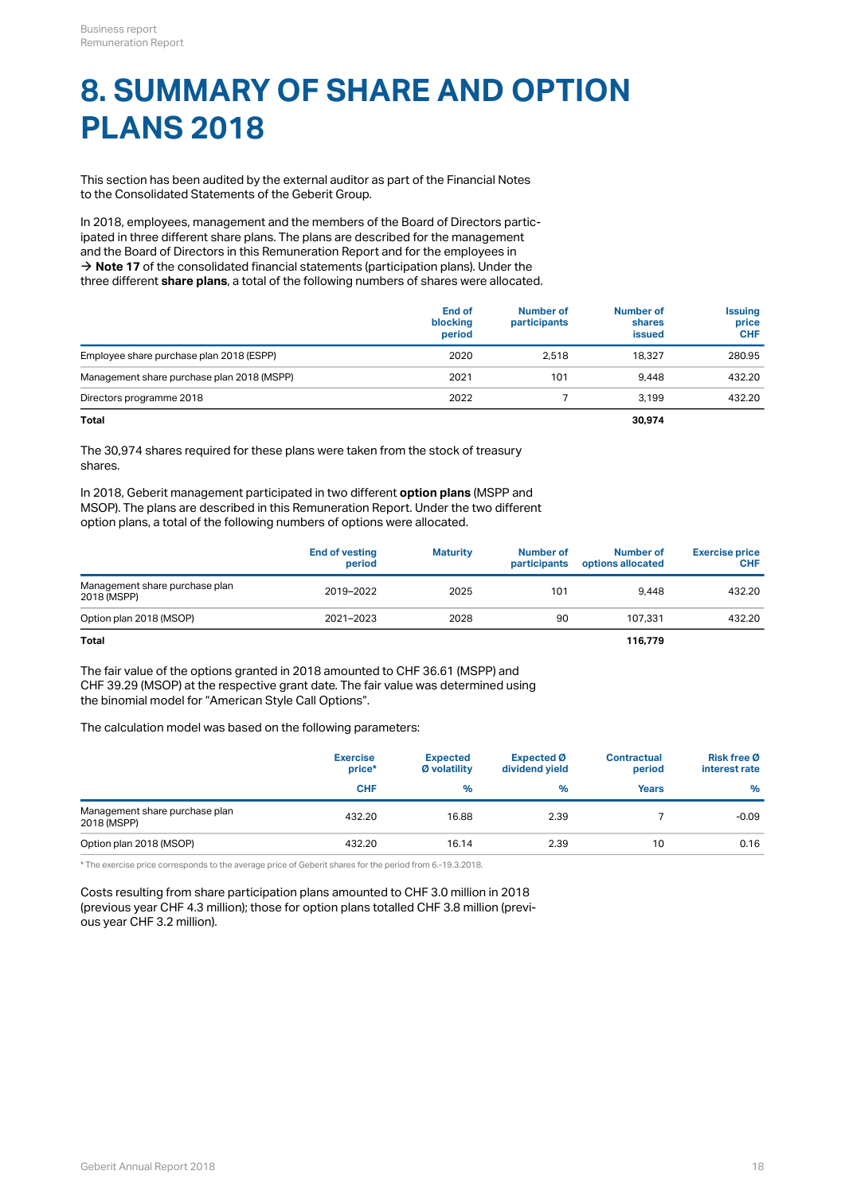# **8. SUMMARY OF SHARE AND OPTION PLANS 2018**

This section has been audited by the external auditor as part of the Financial Notes to the Consolidated Statements of the Geberit Group.

In 2018, employees, management and the members of the Board of Directors participated in three different share plans. The plans are described for the management and the Board of Directors in this Remuneration Report and for the employees in  $\rightarrow$  **[Note 17](http://annualreport.geberit.com/reports/geberit/annual/2018/gb/English/20405017/17_-participation-plans.html)** of the consolidated financial statements (participation plans). Under the three different **share plans**, a total of the following numbers of shares were allocated.

|                                            | <b>End of</b><br>blocking<br>period | Number of<br>participants | Number of<br>shares<br>issued | <b>Issuing</b><br>price<br><b>CHF</b> |
|--------------------------------------------|-------------------------------------|---------------------------|-------------------------------|---------------------------------------|
| Employee share purchase plan 2018 (ESPP)   | 2020                                | 2.518                     | 18,327                        | 280.95                                |
| Management share purchase plan 2018 (MSPP) | 2021                                | 101                       | 9.448                         | 432.20                                |
| Directors programme 2018                   | 2022                                |                           | 3.199                         | 432.20                                |
|                                            |                                     |                           |                               |                                       |

**Total 30,974**

The 30,974 shares required for these plans were taken from the stock of treasury shares.

In 2018, Geberit management participated in two different **option plans** (MSPP and MSOP). The plans are described in this Remuneration Report. Under the two different option plans, a total of the following numbers of options were allocated.

|                                               | <b>End of vesting</b><br>period | <b>Maturity</b> | Number of<br>participants | Number of<br>options allocated | <b>Exercise price</b><br><b>CHF</b> |
|-----------------------------------------------|---------------------------------|-----------------|---------------------------|--------------------------------|-------------------------------------|
| Management share purchase plan<br>2018 (MSPP) | 2019-2022                       | 2025            | 101                       | 9.448                          | 432.20                              |
| Option plan 2018 (MSOP)                       | 2021-2023                       | 2028            | 90                        | 107.331                        | 432.20                              |
| <b>Total</b>                                  |                                 |                 |                           | 116,779                        |                                     |

The fair value of the options granted in 2018 amounted to CHF 36.61 (MSPP) and CHF 39.29 (MSOP) at the respective grant date. The fair value was determined using the binomial model for "American Style Call Options".

The calculation model was based on the following parameters:

|                                               | <b>Exercise</b><br>price* | <b>Expected</b><br>Ø volatility | <b>Expected Ø</b><br>dividend yield | <b>Contractual</b><br>period | Risk free Ø<br>interest rate |
|-----------------------------------------------|---------------------------|---------------------------------|-------------------------------------|------------------------------|------------------------------|
|                                               | <b>CHF</b>                | %                               | %                                   | <b>Years</b>                 | %                            |
| Management share purchase plan<br>2018 (MSPP) | 432.20                    | 16.88                           | 2.39                                |                              | $-0.09$                      |
| Option plan 2018 (MSOP)                       | 432.20                    | 16.14                           | 2.39                                | 10                           | 0.16                         |

\* The exercise price corresponds to the average price of Geberit shares for the period from 6.-19.3.2018.

Costs resulting from share participation plans amounted to CHF 3.0 million in 2018 (previous year CHF 4.3 million); those for option plans totalled CHF 3.8 million (previous year CHF 3.2 million).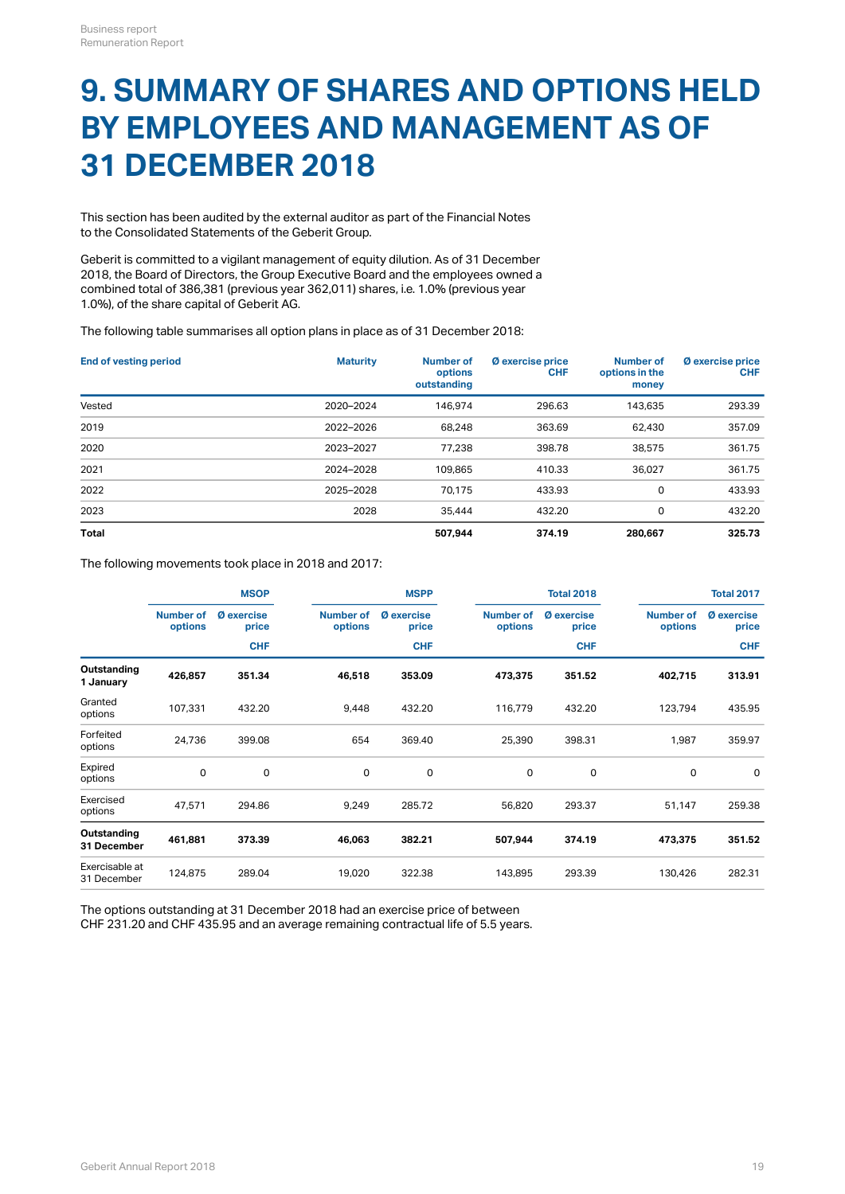## **9. SUMMARY OF SHARES AND OPTIONS HELD BY EMPLOYEES AND MANAGEMENT AS OF 31 DECEMBER 2018**

This section has been audited by the external auditor as part of the Financial Notes to the Consolidated Statements of the Geberit Group.

Geberit is committed to a vigilant management of equity dilution. As of 31 December 2018, the Board of Directors, the Group Executive Board and the employees owned a combined total of 386,381 (previous year 362,011) shares, i.e. 1.0% (previous year 1.0%), of the share capital of Geberit AG.

The following table summarises all option plans in place as of 31 December 2018:

| <b>End of vesting period</b> | <b>Maturity</b> | <b>Number of</b><br>options<br>outstanding | Ø exercise price<br><b>CHF</b> | <b>Number of</b><br>options in the<br>money | Ø exercise price<br><b>CHF</b> |
|------------------------------|-----------------|--------------------------------------------|--------------------------------|---------------------------------------------|--------------------------------|
| Vested                       | 2020-2024       | 146.974                                    | 296.63                         | 143,635                                     | 293.39                         |
| 2019                         | 2022-2026       | 68,248                                     | 363.69                         | 62,430                                      | 357.09                         |
| 2020                         | 2023-2027       | 77.238                                     | 398.78                         | 38,575                                      | 361.75                         |
| 2021                         | 2024-2028       | 109,865                                    | 410.33                         | 36,027                                      | 361.75                         |
| 2022                         | 2025-2028       | 70.175                                     | 433.93                         | 0                                           | 433.93                         |
| 2023                         | 2028            | 35,444                                     | 432.20                         | 0                                           | 432.20                         |
| <b>Total</b>                 |                 | 507.944                                    | 374.19                         | 280,667                                     | 325.73                         |

The following movements took place in 2018 and 2017:

|                               | <b>MSOP</b>                 |                            | <b>MSPP</b>          |                     |                      | <b>Total 2018</b>          |                      | <b>Total 2017</b>          |  |
|-------------------------------|-----------------------------|----------------------------|----------------------|---------------------|----------------------|----------------------------|----------------------|----------------------------|--|
|                               | <b>Number of</b><br>options | <b>Ø</b> exercise<br>price | Number of<br>options | Ø exercise<br>price | Number of<br>options | <b>Ø</b> exercise<br>price | Number of<br>options | <b>Ø</b> exercise<br>price |  |
|                               |                             | <b>CHF</b>                 |                      | <b>CHF</b>          |                      | <b>CHF</b>                 |                      | <b>CHF</b>                 |  |
| Outstanding<br>1 January      | 426,857                     | 351.34                     | 46,518               | 353.09              | 473,375              | 351.52                     | 402,715              | 313.91                     |  |
| Granted<br>options            | 107,331                     | 432.20                     | 9,448                | 432.20              | 116,779              | 432.20                     | 123,794              | 435.95                     |  |
| Forfeited<br>options          | 24,736                      | 399.08                     | 654                  | 369.40              | 25,390               | 398.31                     | 1,987                | 359.97                     |  |
| Expired<br>options            | 0                           | $\mathbf 0$                | 0                    | $\mathsf 0$         | 0                    | 0                          | 0                    | $\mathbf 0$                |  |
| Exercised<br>options          | 47,571                      | 294.86                     | 9,249                | 285.72              | 56,820               | 293.37                     | 51,147               | 259.38                     |  |
| Outstanding<br>31 December    | 461,881                     | 373.39                     | 46,063               | 382.21              | 507,944              | 374.19                     | 473,375              | 351.52                     |  |
| Exercisable at<br>31 December | 124,875                     | 289.04                     | 19,020               | 322.38              | 143,895              | 293.39                     | 130,426              | 282.31                     |  |

The options outstanding at 31 December 2018 had an exercise price of between CHF 231.20 and CHF 435.95 and an average remaining contractual life of 5.5 years.